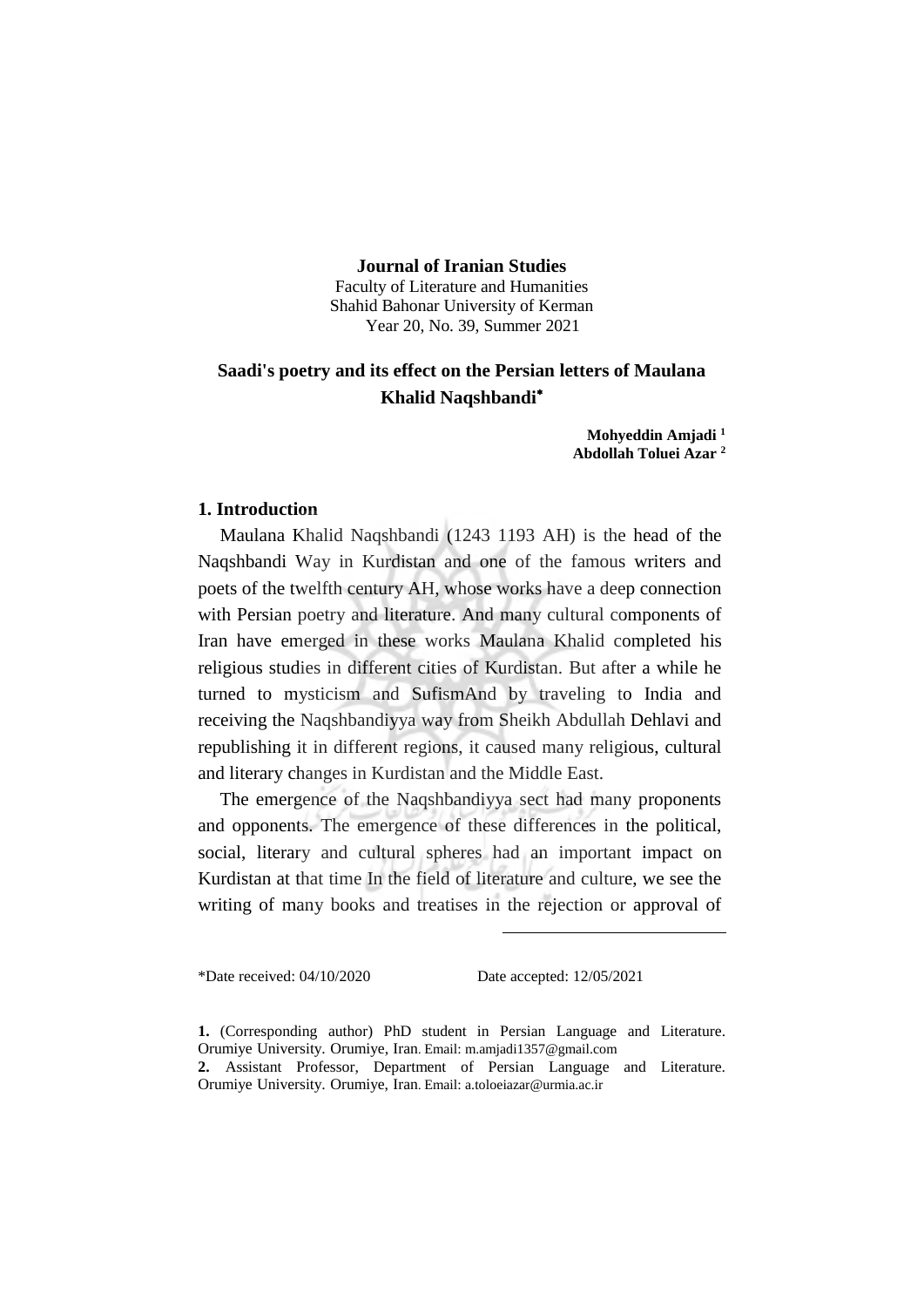## **Journal of Iranian Studies**

Faculty of Literature and Humanities Shahid Bahonar University of Kerman Year 20, No. 39, Summer 2021

# **Saadi's poetry and its effect on the Persian letters of Maulana Khalid Naqshbandi**<sup>∗</sup>

**Mohyeddin Amjadi <sup>1</sup> Abdollah Toluei Azar <sup>2</sup>**

## **1. Introduction**

Maulana Khalid Naqshbandi (1243 1193 AH) is the head of the Naqshbandi Way in Kurdistan and one of the famous writers and poets of the twelfth century AH, whose works have a deep connection with Persian poetry and literature. And many cultural components of Iran have emerged in these works Maulana Khalid completed his religious studies in different cities of Kurdistan. But after a while he turned to mysticism and SufismAnd by traveling to India and receiving the Naqshbandiyya way from Sheikh Abdullah Dehlavi and republishing it in different regions, it caused many religious, cultural and literary changes in Kurdistan and the Middle East.

The emergence of the Naqshbandiyya sect had many proponents and opponents. The emergence of these differences in the political, social, literary and cultural spheres had an important impact on Kurdistan at that time In the field of literature and culture, we see the writing of many books and treatises in the rejection or approval of

 $\overline{a}$ 

\*Date received: 04/10/2020 Date accepted: 12/05/2021

**<sup>1.</sup>** (Corresponding author) PhD student in Persian Language and Literature. Orumiye University. Orumiye, Iran. Email: m.amjadi1357@gmail.com

**<sup>2.</sup>** Assistant Professor, Department of Persian Language and Literature. Orumiye University. Orumiye, Iran. Email: a.toloeiazar@urmia.ac.ir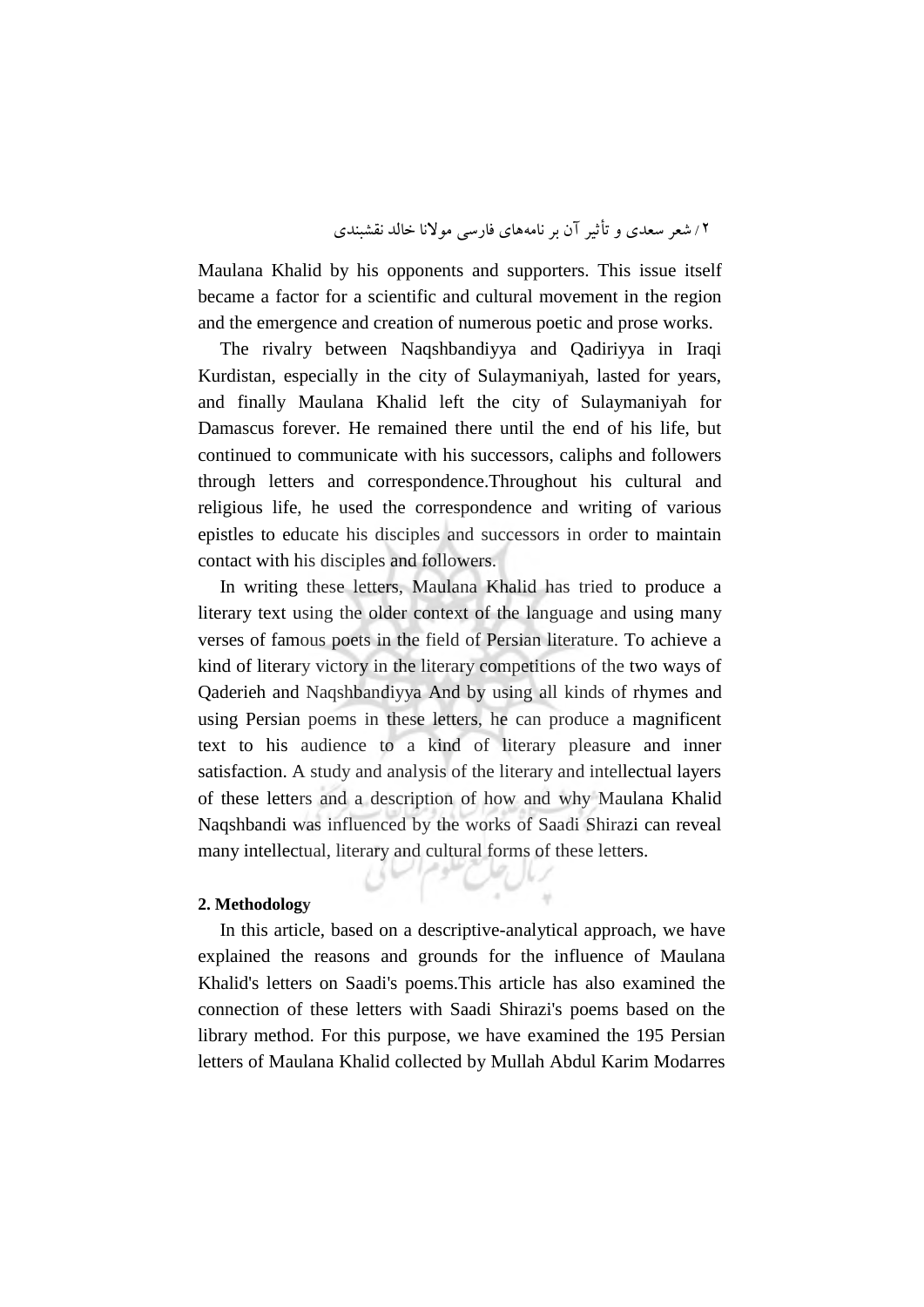Maulana Khalid by his opponents and supporters. This issue itself became a factor for a scientific and cultural movement in the region and the emergence and creation of numerous poetic and prose works.

The rivalry between Naqshbandiyya and Qadiriyya in Iraqi Kurdistan, especially in the city of Sulaymaniyah, lasted for years, and finally Maulana Khalid left the city of Sulaymaniyah for Damascus forever. He remained there until the end of his life, but continued to communicate with his successors, caliphs and followers through letters and correspondence.Throughout his cultural and religious life, he used the correspondence and writing of various epistles to educate his disciples and successors in order to maintain contact with his disciples and followers.

In writing these letters, Maulana Khalid has tried to produce a literary text using the older context of the language and using many verses of famous poets in the field of Persian literature. To achieve a kind of literary victory in the literary competitions of the two ways of Qaderieh and Naqshbandiyya And by using all kinds of rhymes and using Persian poems in these letters, he can produce a magnificent text to his audience to a kind of literary pleasure and inner satisfaction. A study and analysis of the literary and intellectual layers of these letters and a description of how and why Maulana Khalid Naqshbandi was influenced by the works of Saadi Shirazi can reveal many intellectual, literary and cultural forms of these letters.

## **2. Methodology**

In this article, based on a descriptive-analytical approach, we have explained the reasons and grounds for the influence of Maulana Khalid's letters on Saadi's poems.This article has also examined the connection of these letters with Saadi Shirazi's poems based on the library method. For this purpose, we have examined the 195 Persian letters of Maulana Khalid collected by Mullah Abdul Karim Modarres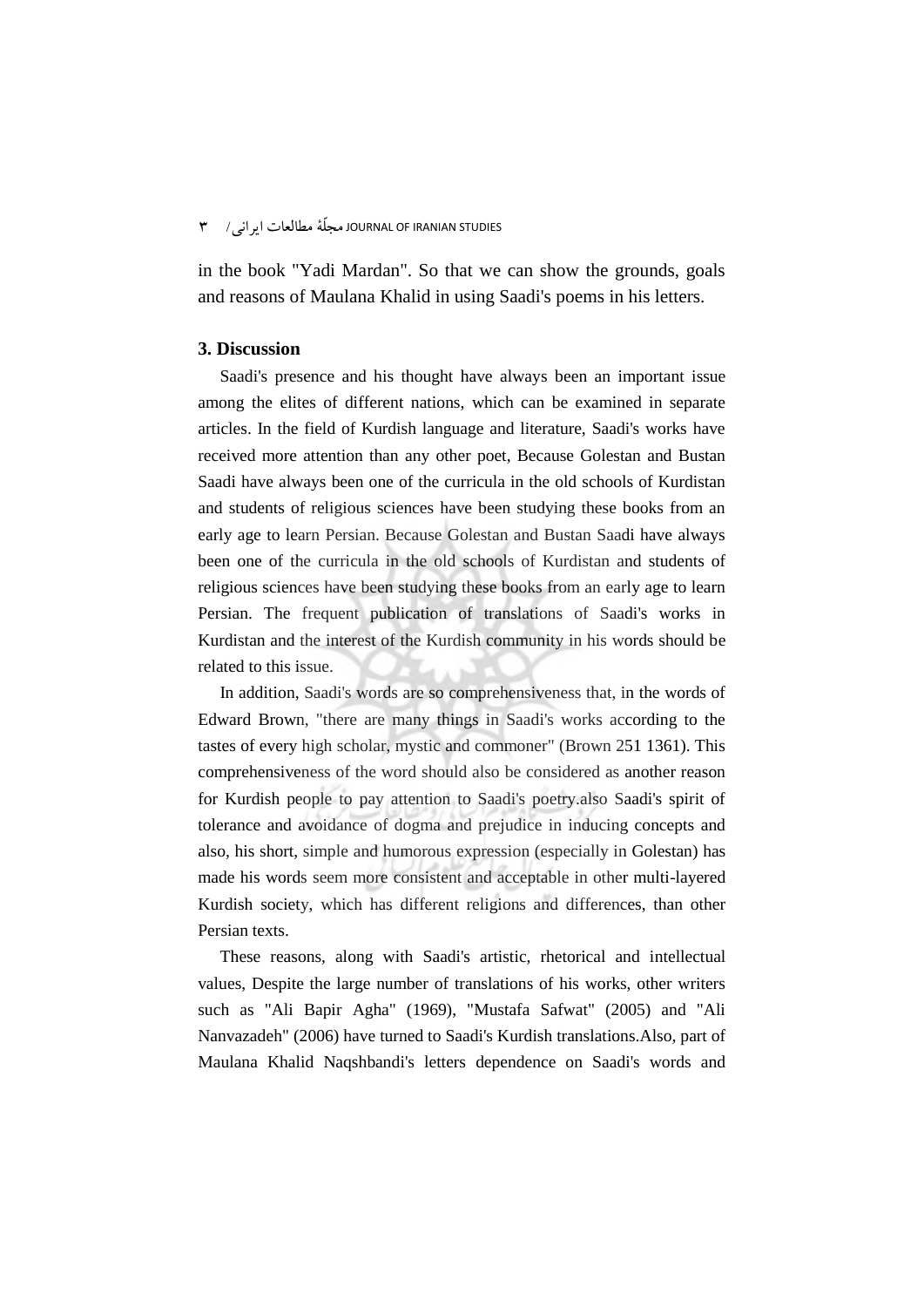in the book "Yadi Mardan". So that we can show the grounds, goals and reasons of Maulana Khalid in using Saadi's poems in his letters.

## **3. Discussion**

Saadi's presence and his thought have always been an important issue among the elites of different nations, which can be examined in separate articles. In the field of Kurdish language and literature, Saadi's works have received more attention than any other poet, Because Golestan and Bustan Saadi have always been one of the curricula in the old schools of Kurdistan and students of religious sciences have been studying these books from an early age to learn Persian. Because Golestan and Bustan Saadi have always been one of the curricula in the old schools of Kurdistan and students of religious sciences have been studying these books from an early age to learn Persian. The frequent publication of translations of Saadi's works in Kurdistan and the interest of the Kurdish community in his words should be related to this issue.

In addition, Saadi's words are so comprehensiveness that, in the words of Edward Brown, "there are many things in Saadi's works according to the tastes of every high scholar, mystic and commoner" (Brown 251 1361). This comprehensiveness of the word should also be considered as another reason for Kurdish people to pay attention to Saadi's poetry.also Saadi's spirit of tolerance and avoidance of dogma and prejudice in inducing concepts and also, his short, simple and humorous expression (especially in Golestan) has made his words seem more consistent and acceptable in other multi-layered Kurdish society, which has different religions and differences, than other Persian texts.

These reasons, along with Saadi's artistic, rhetorical and intellectual values, Despite the large number of translations of his works, other writers such as "Ali Bapir Agha" (1969), "Mustafa Safwat" (2005) and "Ali Nanvazadeh" (2006) have turned to Saadi's Kurdish translations.Also, part of Maulana Khalid Naqshbandi's letters dependence on Saadi's words and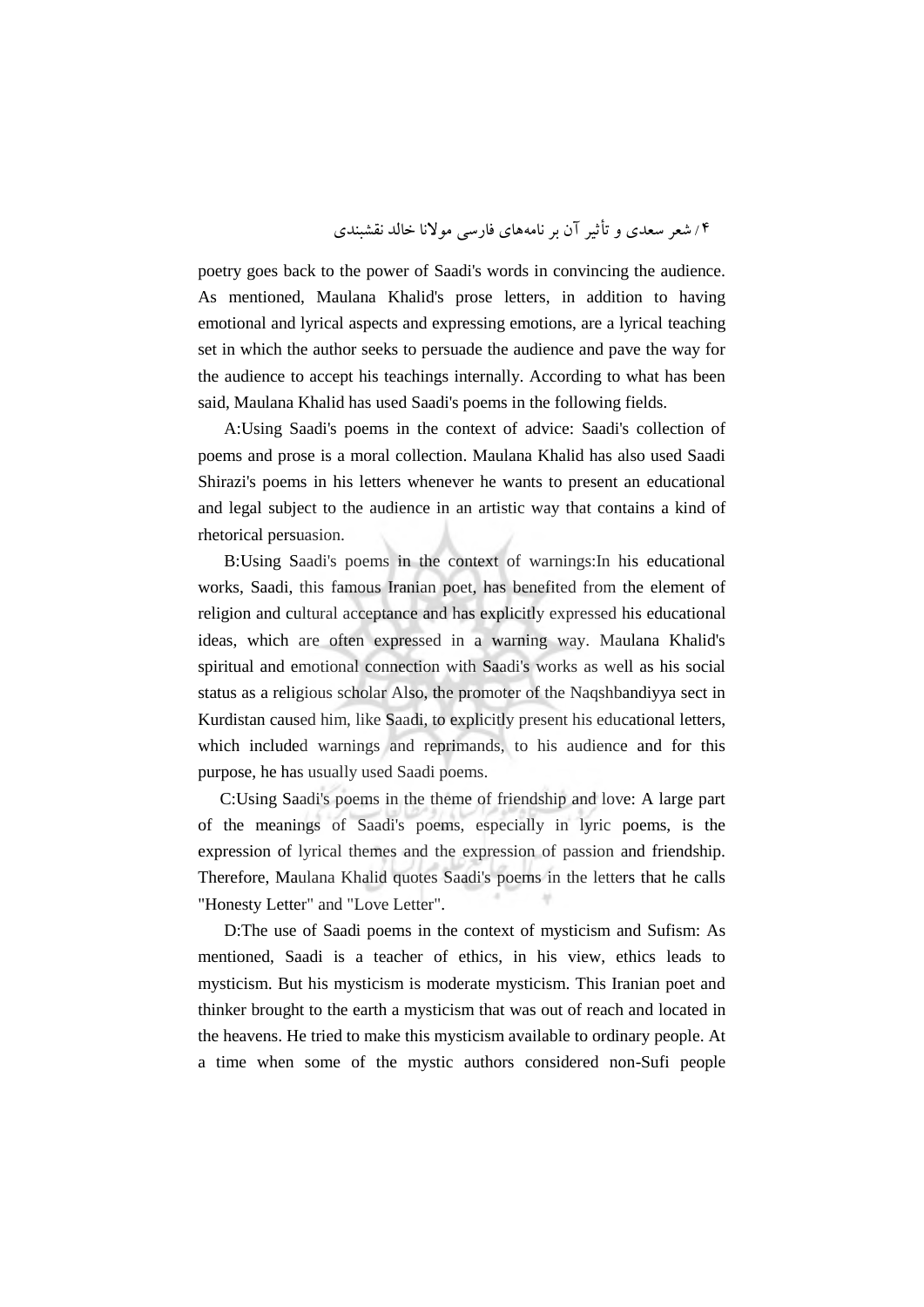poetry goes back to the power of Saadi's words in convincing the audience. As mentioned, Maulana Khalid's prose letters, in addition to having emotional and lyrical aspects and expressing emotions, are a lyrical teaching set in which the author seeks to persuade the audience and pave the way for the audience to accept his teachings internally. According to what has been said, Maulana Khalid has used Saadi's poems in the following fields.

A:Using Saadi's poems in the context of advice: Saadi's collection of poems and prose is a moral collection. Maulana Khalid has also used Saadi Shirazi's poems in his letters whenever he wants to present an educational and legal subject to the audience in an artistic way that contains a kind of rhetorical persuasion.

B:Using Saadi's poems in the context of warnings:In his educational works, Saadi, this famous Iranian poet, has benefited from the element of religion and cultural acceptance and has explicitly expressed his educational ideas, which are often expressed in a warning way. Maulana Khalid's spiritual and emotional connection with Saadi's works as well as his social status as a religious scholar Also, the promoter of the Naqshbandiyya sect in Kurdistan caused him, like Saadi, to explicitly present his educational letters, which included warnings and reprimands, to his audience and for this purpose, he has usually used Saadi poems.

C:Using Saadi's poems in the theme of friendship and love: A large part of the meanings of Saadi's poems, especially in lyric poems, is the expression of lyrical themes and the expression of passion and friendship. Therefore, Maulana Khalid quotes Saadi's poems in the letters that he calls "Honesty Letter" and "Love Letter".

D:The use of Saadi poems in the context of mysticism and Sufism: As mentioned, Saadi is a teacher of ethics, in his view, ethics leads to mysticism. But his mysticism is moderate mysticism. This Iranian poet and thinker brought to the earth a mysticism that was out of reach and located in the heavens. He tried to make this mysticism available to ordinary people. At a time when some of the mystic authors considered non-Sufi people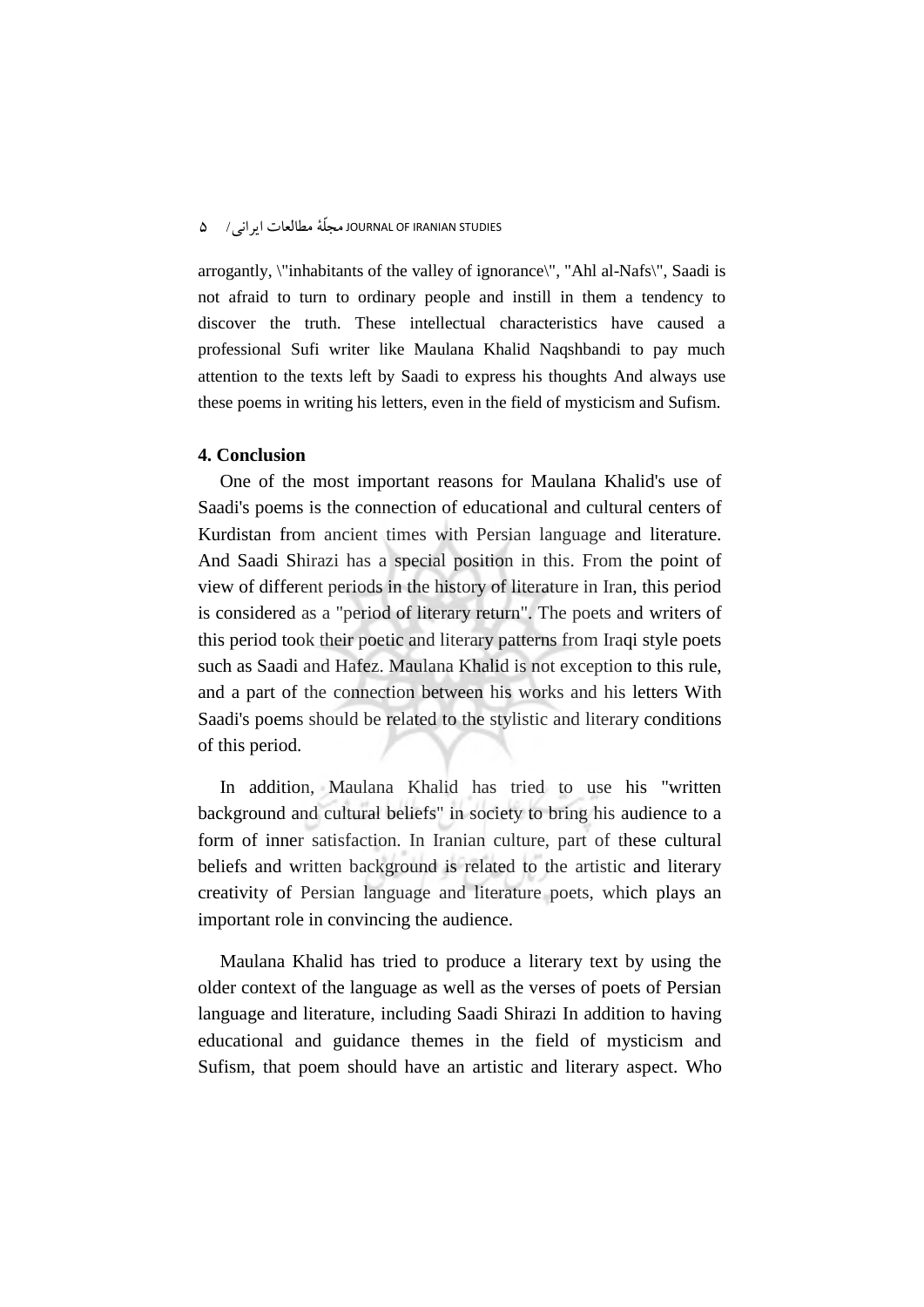arrogantly, \"inhabitants of the valley of ignorance\", "Ahl al-Nafs\", Saadi is not afraid to turn to ordinary people and instill in them a tendency to discover the truth. These intellectual characteristics have caused a professional Sufi writer like Maulana Khalid Naqshbandi to pay much attention to the texts left by Saadi to express his thoughts And always use these poems in writing his letters, even in the field of mysticism and Sufism.

## **4. Conclusion**

One of the most important reasons for Maulana Khalid's use of Saadi's poems is the connection of educational and cultural centers of Kurdistan from ancient times with Persian language and literature. And Saadi Shirazi has a special position in this. From the point of view of different periods in the history of literature in Iran, this period is considered as a "period of literary return". The poets and writers of this period took their poetic and literary patterns from Iraqi style poets such as Saadi and Hafez. Maulana Khalid is not exception to this rule, and a part of the connection between his works and his letters With Saadi's poems should be related to the stylistic and literary conditions of this period.

In addition, Maulana Khalid has tried to use his "written background and cultural beliefs" in society to bring his audience to a form of inner satisfaction. In Iranian culture, part of these cultural beliefs and written background is related to the artistic and literary creativity of Persian language and literature poets, which plays an important role in convincing the audience.

Maulana Khalid has tried to produce a literary text by using the older context of the language as well as the verses of poets of Persian language and literature, including Saadi Shirazi In addition to having educational and guidance themes in the field of mysticism and Sufism, that poem should have an artistic and literary aspect. Who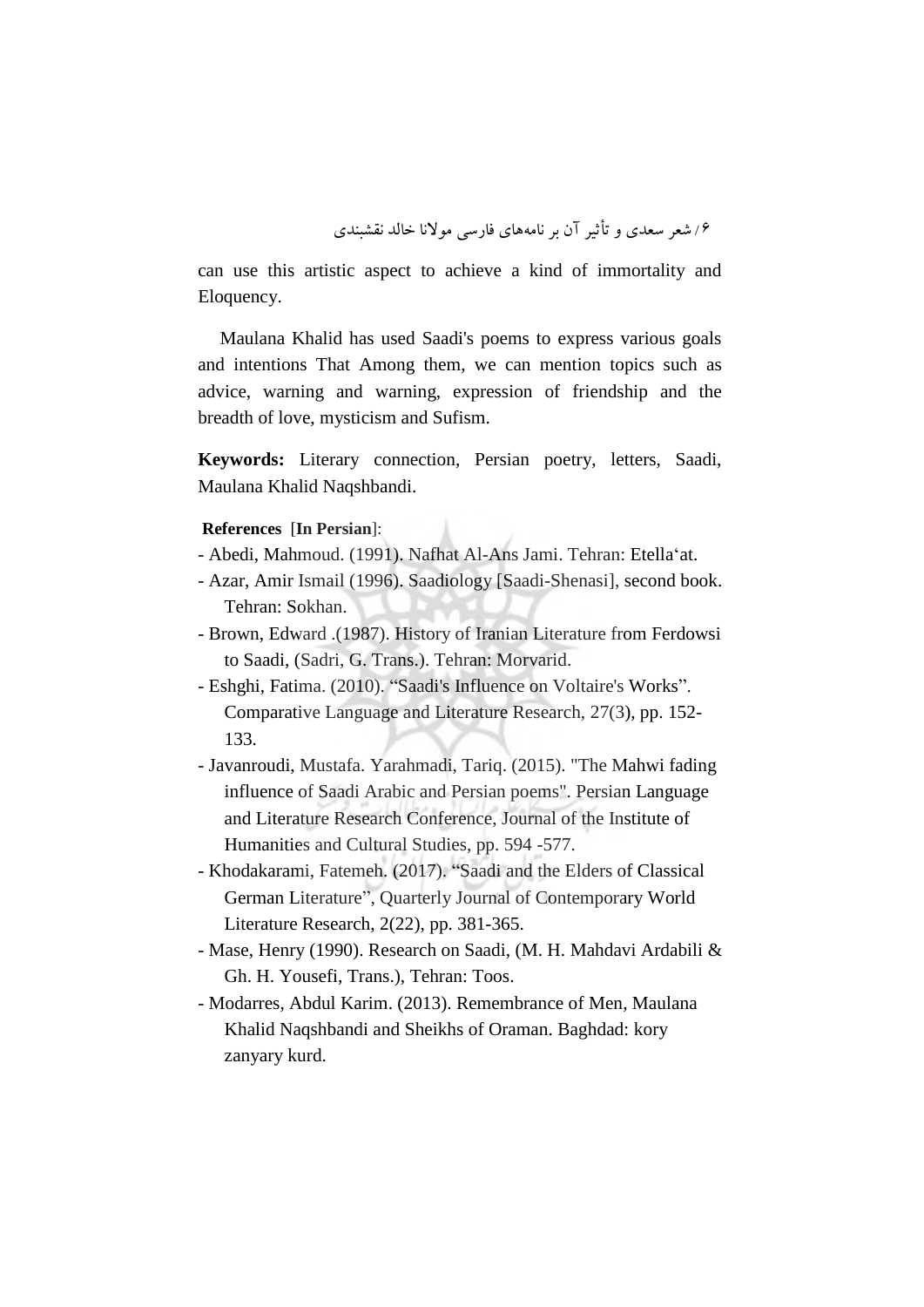can use this artistic aspect to achieve a kind of immortality and Eloquency.

Maulana Khalid has used Saadi's poems to express various goals and intentions That Among them, we can mention topics such as advice, warning and warning, expression of friendship and the breadth of love, mysticism and Sufism.

**Keywords:** Literary connection, Persian poetry, letters, Saadi, Maulana Khalid Naqshbandi.

## **References** [**In Persian**]:

- Abedi, Mahmoud. (1991). Nafhat Al-Ans Jami. Tehran: Etellaʻat.
- Azar, Amir Ismail (1996). Saadiology [Saadi-Shenasi], second book. Tehran: Sokhan.
- Brown, Edward .(1987). History of Iranian Literature from Ferdowsi to Saadi, (Sadri, G. Trans.). Tehran: Morvarid.
- Eshghi, Fatima. (2010). "Saadi's Influence on Voltaire's Works". Comparative Language and Literature Research, 27(3), pp. 152- 133.
- Javanroudi, Mustafa. Yarahmadi, Tariq. (2015). "The Mahwi fading influence of Saadi Arabic and Persian poems". Persian Language and Literature Research Conference, Journal of the Institute of Humanities and Cultural Studies, pp. 594 -577.
- Khodakarami, Fatemeh. (2017). "Saadi and the Elders of Classical German Literature", Quarterly Journal of Contemporary World Literature Research, 2(22), pp. 381-365.
- Mase, Henry (1990). Research on Saadi, (M. H. Mahdavi Ardabili & Gh. H. Yousefi, Trans.), Tehran: Toos.
- Modarres, Abdul Karim. (2013). Remembrance of Men, Maulana Khalid Naqshbandi and Sheikhs of Oraman. Baghdad: kory zanyary kurd.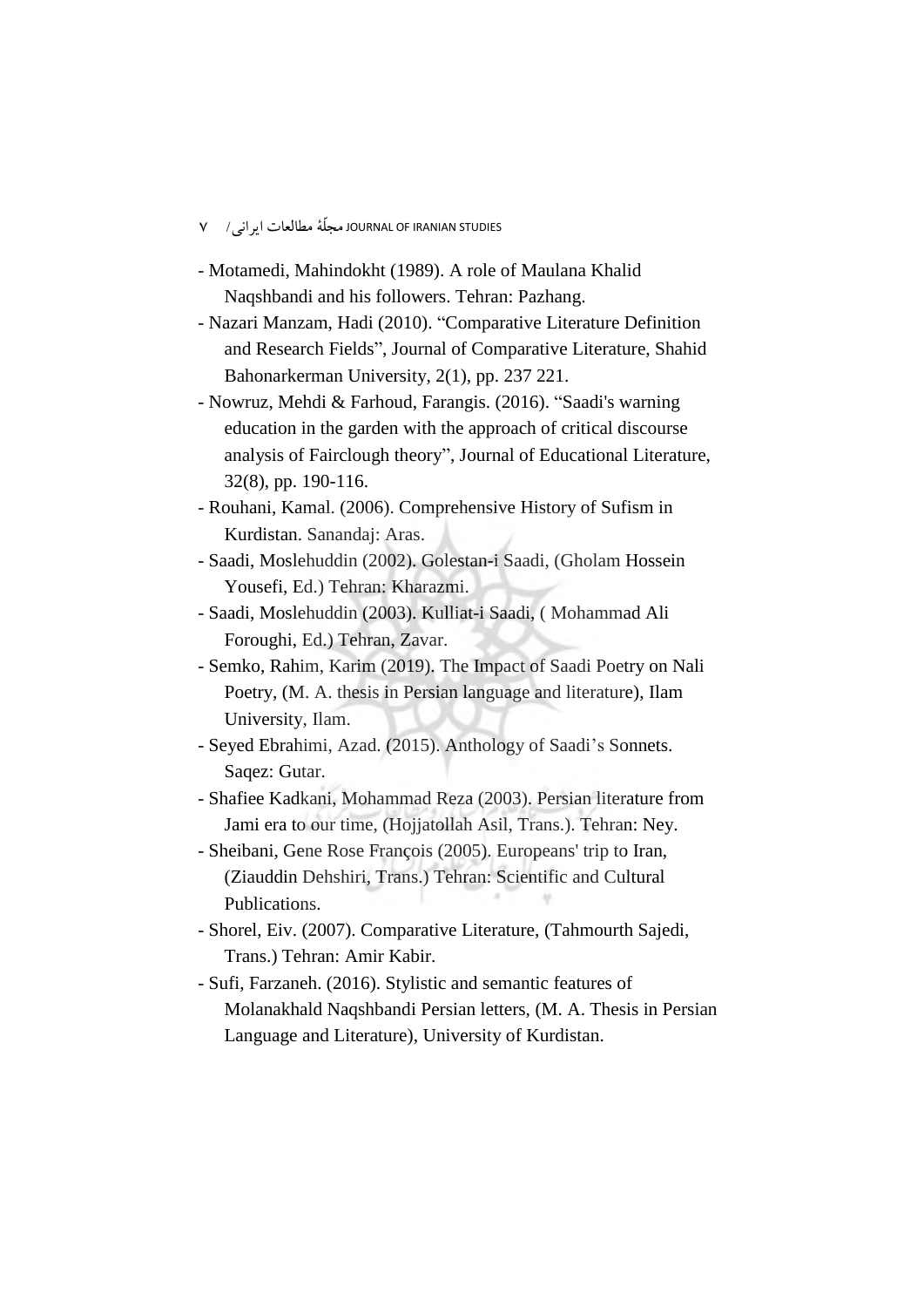- STUDIES IRANIAN OF JOURNAL مجلّۀ مطالعات ایرانی/ 7
- Motamedi, Mahindokht (1989). A role of Maulana Khalid Naqshbandi and his followers. Tehran: Pazhang.
- Nazari Manzam, Hadi (2010). "Comparative Literature Definition and Research Fields", Journal of Comparative Literature, Shahid Bahonarkerman University, 2(1), pp. 237 221.
- Nowruz, Mehdi & Farhoud, Farangis. (2016). "Saadi's warning education in the garden with the approach of critical discourse analysis of Fairclough theory", Journal of Educational Literature, 32(8), pp. 190-116.
- Rouhani, Kamal. (2006). Comprehensive History of Sufism in Kurdistan. Sanandaj: Aras.
- Saadi, Moslehuddin (2002). Golestan-i Saadi, (Gholam Hossein Yousefi, Ed.) Tehran: Kharazmi.
- Saadi, Moslehuddin (2003). Kulliat-i Saadi, ( Mohammad Ali Foroughi, Ed.) Tehran, Zavar.
- Semko, Rahim, Karim (2019). The Impact of Saadi Poetry on Nali Poetry, (M. A. thesis in Persian language and literature), Ilam University, Ilam.
- Seyed Ebrahimi, Azad. (2015). Anthology of Saadi's Sonnets. Saqez: Gutar.
- Shafiee Kadkani, Mohammad Reza (2003). Persian literature from Jami era to our time, (Hojjatollah Asil, Trans.). Tehran: Ney.
- Sheibani, Gene Rose François (2005). Europeans' trip to Iran, (Ziauddin Dehshiri, Trans.) Tehran: Scientific and Cultural Publications.
- Shorel, Eiv. (2007). Comparative Literature, (Tahmourth Sajedi, Trans.) Tehran: Amir Kabir.
- Sufi, Farzaneh. (2016). Stylistic and semantic features of Molanakhald Naqshbandi Persian letters, (M. A. Thesis in Persian Language and Literature), University of Kurdistan.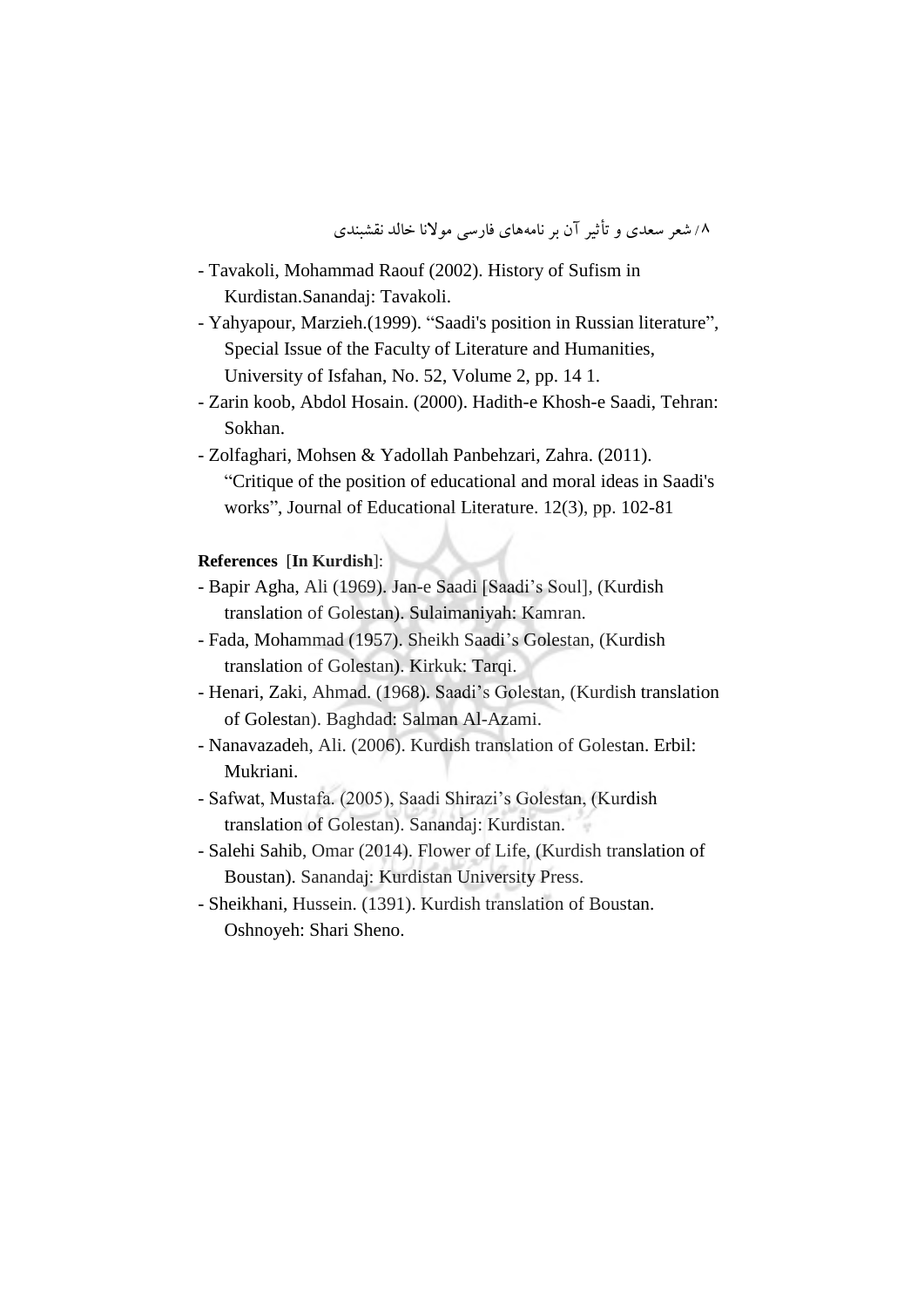- Tavakoli, Mohammad Raouf (2002). History of Sufism in Kurdistan.Sanandaj: Tavakoli.
- Yahyapour, Marzieh.(1999). "Saadi's position in Russian literature", Special Issue of the Faculty of Literature and Humanities, University of Isfahan, No. 52, Volume 2, pp. 14 1.
- Zarin koob, Abdol Hosain. (2000). Hadith-e Khosh-e Saadi, Tehran: Sokhan.
- Zolfaghari, Mohsen & Yadollah Panbehzari, Zahra. (2011). "Critique of the position of educational and moral ideas in Saadi's works", Journal of Educational Literature. 12(3), pp. 102-81

# **References** [**In Kurdish**]:

- Bapir Agha, Ali (1969). Jan-e Saadi [Saadi's Soul], (Kurdish translation of Golestan). Sulaimaniyah: Kamran.
- Fada, Mohammad (1957). Sheikh Saadi's Golestan, (Kurdish translation of Golestan). Kirkuk: Tarqi.
- Henari, Zaki, Ahmad. (1968). Saadi's Golestan, (Kurdish translation of Golestan). Baghdad: Salman Al-Azami.
- Nanavazadeh, Ali. (2006). Kurdish translation of Golestan. Erbil: Mukriani.
- Safwat, Mustafa. (2005), Saadi Shirazi's Golestan, (Kurdish translation of Golestan). Sanandaj: Kurdistan.
- Salehi Sahib, Omar (2014). Flower of Life, (Kurdish translation of Boustan). Sanandaj: Kurdistan University Press.
- Sheikhani, Hussein. (1391). Kurdish translation of Boustan. Oshnoyeh: Shari Sheno.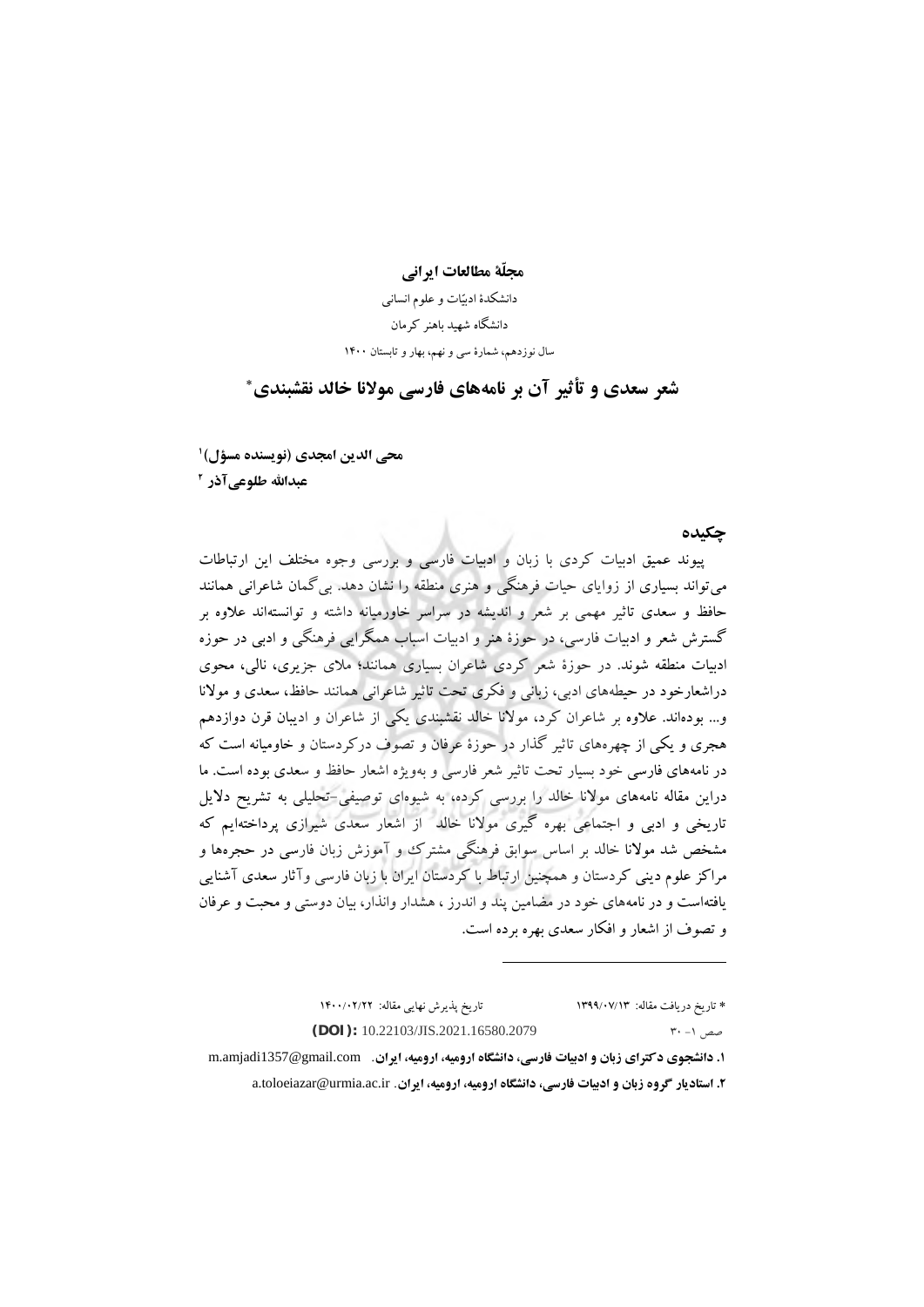**مجلّة مطالعات ايرانی**

دانشکدة ادبیّات و علوم انسانی دانشگاه شهید باهنر کرمان سال نوزدهم، شمارة سی و نهم، بهار و تابستان 1400

∗ **شعر سعدی و تأثیر آن بر نامههای فارسی موالنا خالد نقشبندی**

**1 محی الدين امجدی )نويسنده مسؤل( 2 عبداهلل طلوعیآذر**

**چکیده**  پیوند عمیق ادبیات کردی با زبان و ادبیات فارسی و بررسی وجوه مختلف این ارتباطات میتواند بسیاری از زوایای حیات فرهنگی و هنری منطقه را نشان دهد. بیگمان شاعرانی همانند حافظ و سعدی تاثیر مهمی بر شعر و اندیشه در سراسر خاورمیانه داشته و توانستهاند عالوه بر گسترش شعر و ادبیات فارسی، در حوزة هنر و ادبیات اسباب همگرایی فرهنگی و ادبی در حوزه ادبیات منطقه شوند. در حوزة شعر کردی شاعران بسیاری همانند؛ مالی جزیری، نالی، محوی دراشعارخود در حیطههای ادبی، زبانی و فکری تحت تاثیر شاعرانی همانند حافظ، سعدی و موالنا و... بودهاند. عالوه بر شاعران کرد، موالنا خالد نقشبندی یکی از شاعران و ادیبان قرن دوازدهم هجری و یکی از چهرههای تاثیر گذار در حوزة عرفان و تصوف درکردستان و خاومیانه است که در نامههای فارسی خود بسیار تحت تاثیر شعر فارسی و بهویژه اشعار حافظ و سعدی بوده است. ما دراین مقاله نامههای موالنا خالد را بررسی کرده، به شیوهای توصیفی-تحلیلی به تشریح دالیل تاریخی و ادبی و اجتماعی بهره گیری موالنا خالد از اشعار سعدی شیرازی پرداختهایم که مشخص شد موالنا خالد بر اساس سوابق فرهنگی مشترک و آموزش زبان فارسی در حجرهها و مراکز علوم دینی کردستان و همچنین ارتباط با کردستان ایران با زبان فارسی وآثار سعدی آشنایی یافتهاست و در نامههای خود در مضامین پند و اندرز ، هشدار وانذار، بیان دوستی و محبت و عرفان و تصوف از اشعار و افکار سعدی بهره برده است.

∗ تاریخ دریافت مقاله: 1399/07/13 تاریخ پذیرش نهایی مقاله: 1400/02/22  **(DOI):** 10.22103/JIS.2021.16580.2079 30 -1 صص **.1 دانشجوی دکترای زبان و ادبیات فارسی، دانشگاه ارومیه، ارومیه، ايران**. com.gmail@1357amjadi.m

 $\overline{a}$ 

**.2 استاديار گروه زبان و ادبیات فارسی، دانشگاه ارومیه، ارومیه، ايران**. ir.ac.urmia@toloeiazar.a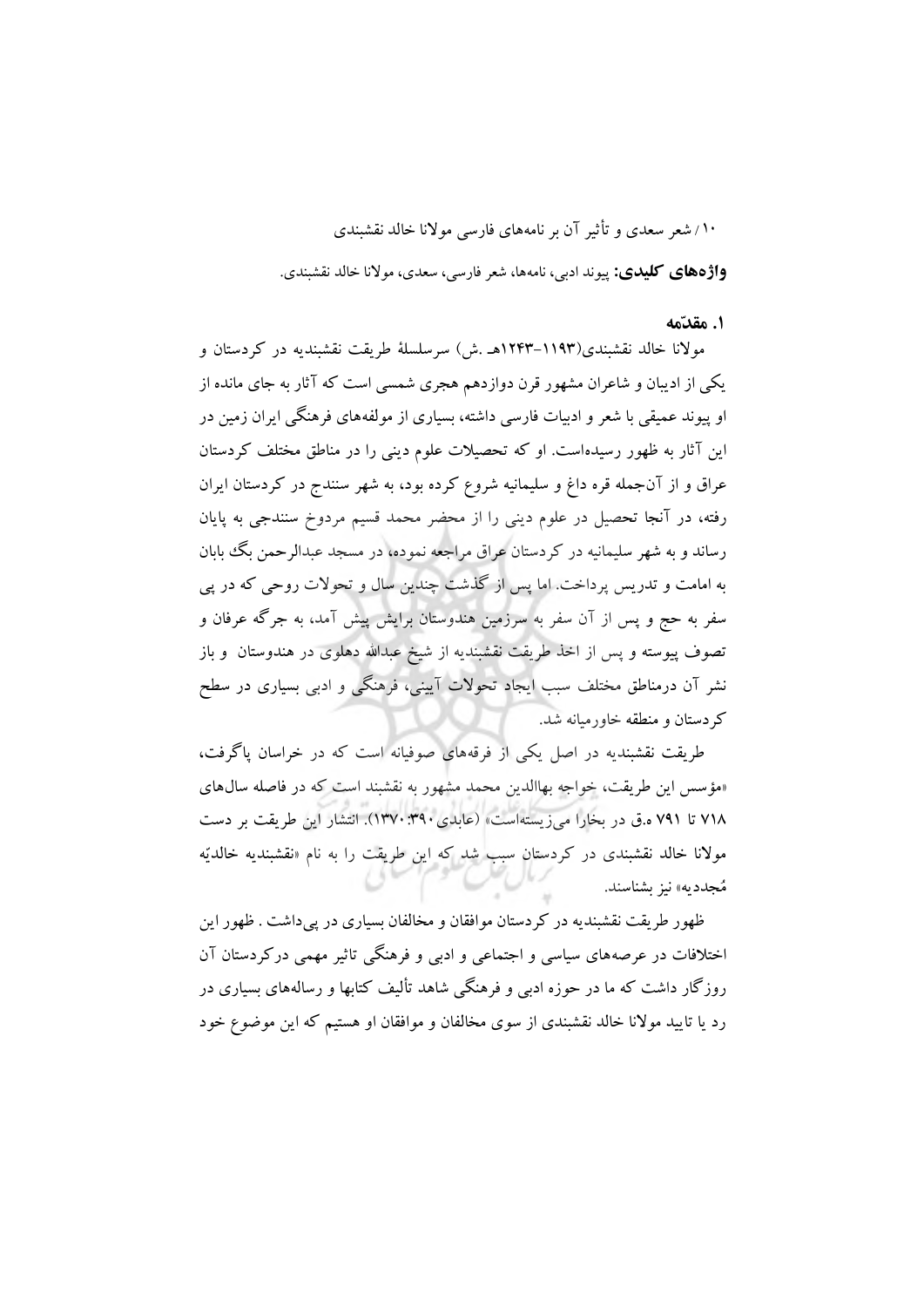**واژههای کلیدی:** پیوند ادبی، نامهها، شعر فارسی، سعدی، موالنا خالد نقشبندی.

#### **.1 مقدّمه**

موالنا خالد نقشبندی)1243-1193هـ .ش( سرسلسلۀ طریقت نقشبندیه در کردستان و یکی از ادیبان و شاعران مشهور قرن دوازدهم هجری شمسی است که آثار به جای مانده از او پیوند عمیقی با شعر و ادبیات فارسی داشته، بسیاری از مولفههای فرهنگی ایران زمین در این آثار به ظهور رسیدهاست. او که تحصیالت علوم دینی را در مناطق مختلف کردستان عراق و از آنجمله قره داغ و سلیمانیه شروع کرده بود، به شهر سنندج در کردستان ایران رفته، در آنجا تحصیل در علوم دینی را از محضر محمد قسیم مردوخ سنندجی به پایان رساند و به شهر سلیمانیه در کردستان عراق مراجعه نموده، در مسجد عبدالرحمن بگ بابان به امامت و تدریس پرداخت. اما پس از گذشت چندین سال و تحوالت روحی که در پی سفر به حج و پس از آن سفر به سرزمین هندوستان برایش پیش آمد، به جرگه عرفان و تصوف پیوسته و پس از اخذ طریقت نقشبندیه از شیخ عبداهلل دهلوی در هندوستان و باز نشر آن درمناطق مختلف سبب ایجاد تحوالت آیینی، فرهنگی و ادبی بسیاری در سطح کردستان و منطقه خاورمیانه شد.

طریقت نقشبندیه در اصل یکی از فرقههای صوفیانه است که در خراسان پاگرفت، »مؤسس این طریقت، خواجه بهاالدین محمد مشهور به نقشبند است که در فاصله سالهای 718 تا 791 ه.ق در بخارا میزیستهاست« )عابدی1370:390(. انتشار این طریقت بر دست موالنا خالد نقشبندی در کردستان سبب شد که این طریقت را به نام »نقشبندیه خالدیّه مُجددیه« نیز بشناسند.

ظهور طریقت نقشبندیه در کردستان موافقان و مخالفان بسیاری در پیداشت . ظهور این اختالفات در عرصههای سیاسی و اجتماعی و ادبی و فرهنگی تاثیر مهمی درکردستان آن روزگار داشت که ما در حوزه ادبی و فرهنگی شاهد تألیف کتابها و رسالههای بسیاری در رد یا تایید موالنا خالد نقشبندی از سوی مخالفان و موافقان او هستیم که این موضوع خود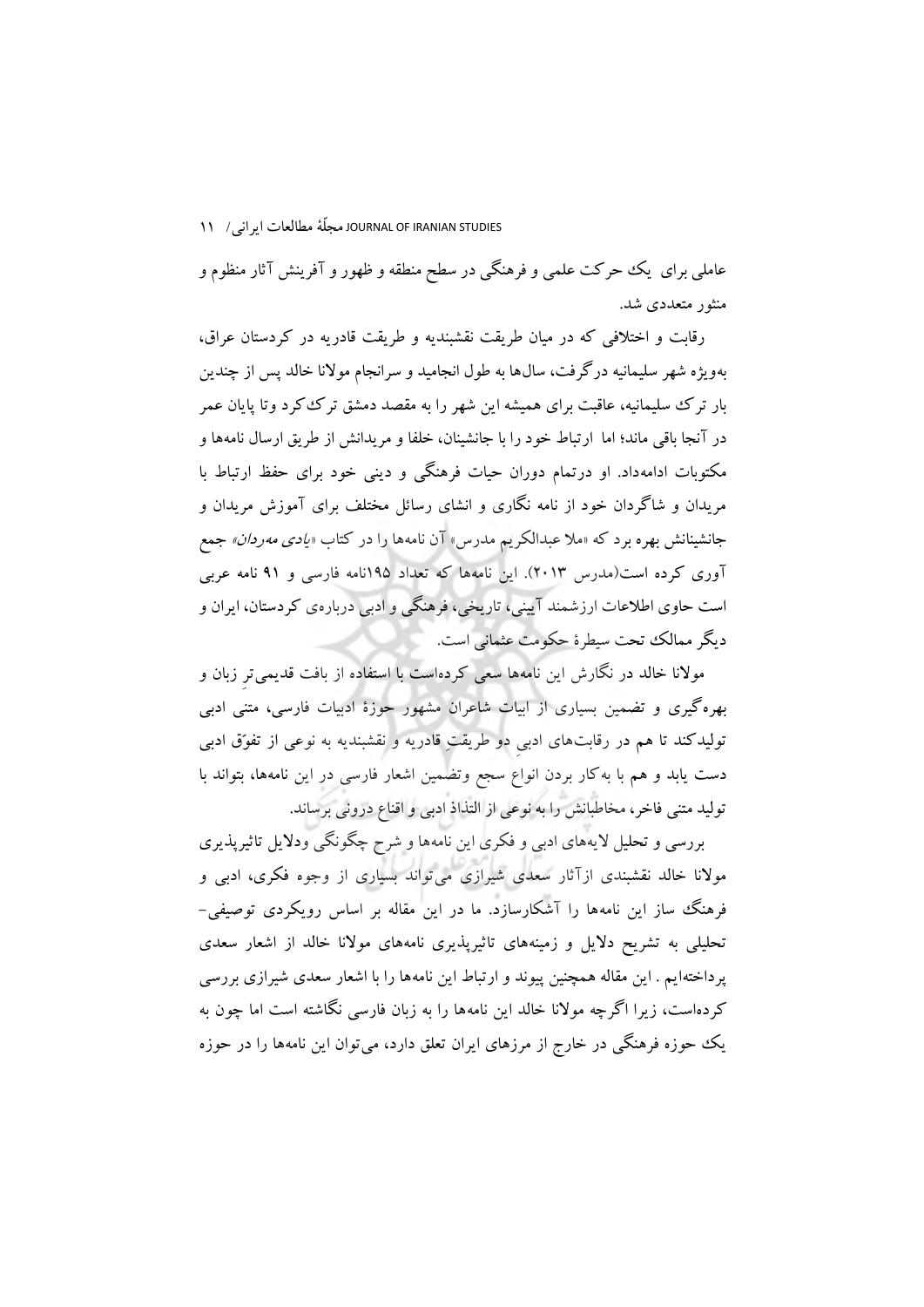عاملی برای یک حرکت علمی و فرهنگی در سطح منطقه و ظهور و آفرینش آثار منظوم و منثور متعددی شد.

رقابت و اختالفی که در میان طریقت نقشبندیه و طریقت قادریه در کردستان عراق، بهویژه شهر سلیمانیه درگرفت، سالها به طول انجامید و سرانجام موالنا خالد پس از چندین بار ترک سلیمانیه، عاقبت برای همیشه این شهر را به مقصد دمشق ترککرد وتا پایان عمر در آنجا باقی ماند؛ اما ارتباط خود را با جانشینان، خلفا و مریدانش از طریق ارسال نامهها و مکتوبات ادامهداد. او درتمام دوران حیات فرهنگی و دینی خود برای حفظ ارتباط با مریدان و شاگردان خود از نامه نگاری و انشای رسائل مختلف برای آموزش مریدان و جانشینانش بهره برد که «ملا عبدالکریم مدرس» آن نامهها را در کتاب «*یادی مهردان» ج*مع آوری کرده است)مدرس 2013(. این نامهها که تعداد 195نامه فارسی و 91 نامه عربی است حاوی اطالعات ارزشمند آیینی، تاریخی، فرهنگی و ادبی دربارهی کردستان، ایران و دیگر ممالک تحت سیطرة حکومت عثمانی است.

موالنا خالد در نگارش این نامهها سعی کردهاست با استفاده از بافت قدیمیترِ زبان و بهرهگیری و تضمین بسیاری از ابیات شاعران مشهور حوزة ادبیات فارسی، متنی ادبی تولیدکند تا هم در رقابتهای ادبیِ دو طریقتِ قادریه و نقشبندیه به نوعی از تفوّق ادبی دست یابد و هم با بهکار بردن انواع سجع وتضمین اشعار فارسی در این نامهها، بتواند با تولید متنی فاخر، مخاطبانش را به نوعی از التذاذ ادبی و اقناع درونی برساند.

بررسی و تحلیل الیههای ادبی و فکری این نامهها و شرح چگونگی ودالیل تاثیرپذیری موالنا خالد نقشبندی ازآثار سعدی شیرازی میتواند بسیاری از وجوه فکری، ادبی و فرهنگ ساز این نامهها را آشکارسازد. ما در این مقاله بر اساس رویکردی توصیفی- تحلیلی به تشریح دالیل و زمینههای تاثیرپذیری نامههای موالنا خالد از اشعار سعدی پرداختهایم . این مقاله همچنین پیوند و ارتباط این نامهها را با اشعار سعدی شیرازی بررسی کردهاست، زیرا اگرچه موالنا خالد این نامهها را به زبان فارسی نگاشته است اما چون به یک حوزه فرهنگی در خارج از مرزهای ایران تعلق دارد، میتوان این نامهها را در حوزه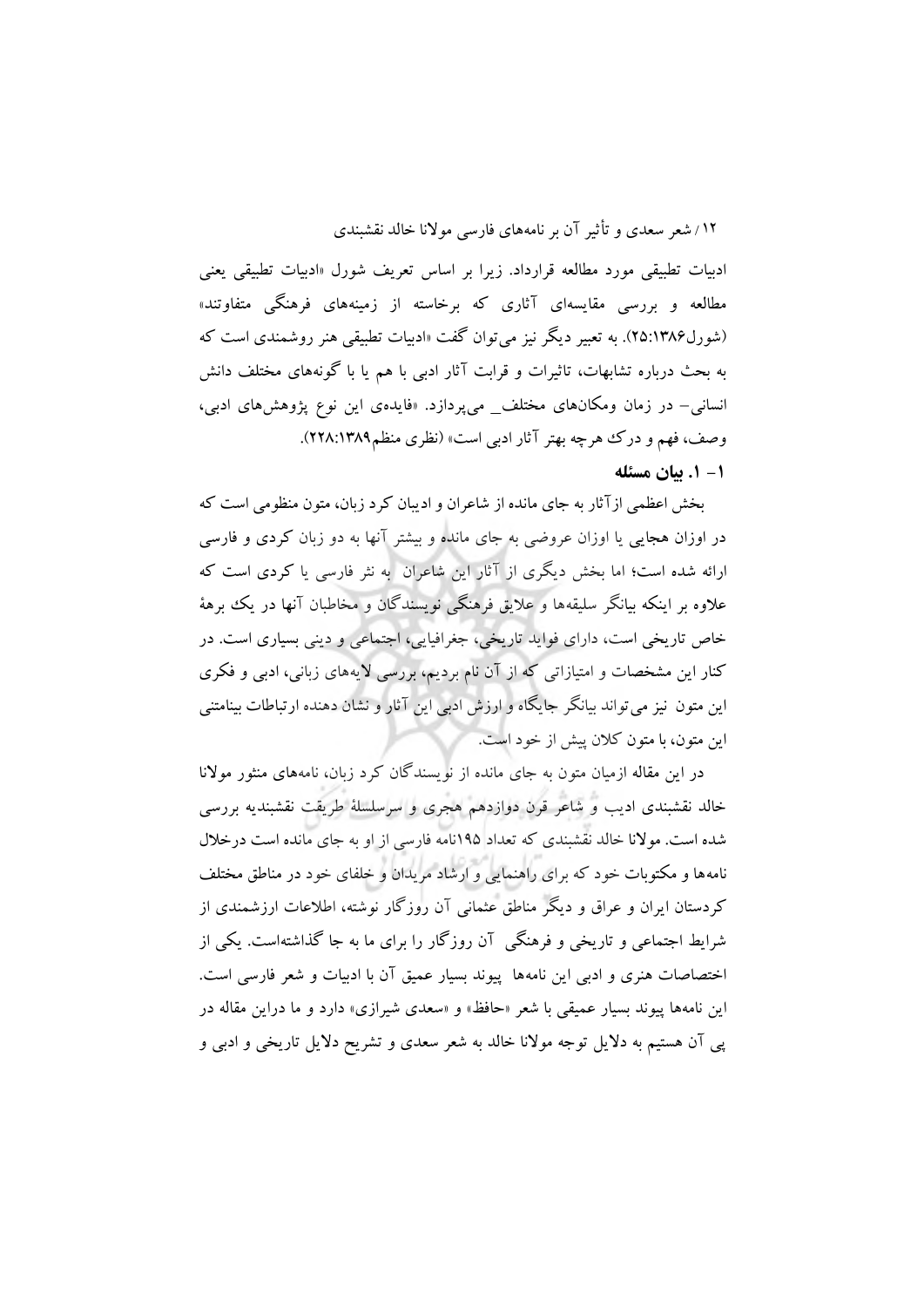ادبیات تطبیقی مورد مطالعه قرارداد. زیرا بر اساس تعریف شورل »ادبیات تطبیقی یعنی مطالعه و بررسی مقایسهای آثاری که برخاسته از زمینههای فرهنگی متفاوتند« )شورل25:1386(. به تعبیر دیگر نیز میتوان گفت »ادبیات تطبیقی هنر روشمندی است که به بحث درباره تشابهات، تاثیرات و قرابت آثار ادبی با هم یا با گونههای مختلف دانش انسانی– در زمان ومکانهای مختلف\_ میپردازد. »فایدهی این نوع پژوهشهای ادبی، وصف، فهم و درک هرچه بهتر آثار ادبی است» (نظری منظم2۲۸:۱۳۸۹).

**-1 .1 بیان مسئله**

بخش اعظمی ازآثار به جای مانده از شاعران و ادیبان کرد زبان، متون منظومی است که در اوزان هجایی یا اوزان عروضی به جای مانده و بیشتر آنها به دو زبان کردی و فارسی ارائه شده است؛ اما بخش دیگری از آثار این شاعران به نثر فارسی یا کردی است که عالوه بر اینکه بیانگر سلیقهها و عالیق فرهنگی نویسندگان و مخاطبان آنها در یک برهۀ خاص تاریخی است، دارای فواید تاریخی، جغرافیایی، اجتماعی و دینی بسیاری است. در کنار این مشخصات و امتیازاتی که از آن نام بردیم، بررسی الیههای زبانی، ادبی و فکری این متون نیز می تواند بیانگر جایگاه و ارزش ادبی این آثار و نشان دهنده ارتباطات بینامتنی این متون، با متون کالن پیش از خود است.

در این مقاله ازمیان متون به جای مانده از نویسندگان کرد زبان، نامههای منثور موالنا خالد نقشبندی ادیب و شاعر قرن دوازدهم هجری و سرسلسلۀ طریقت نقشبندیه بررسی شده است. موالنا خالد نقشبندی که تعداد 195نامه فارسی از او به جای مانده است درخالل نامهها و مکتوبات خود که برای راهنمایی و ارشاد مریدان و خلفای خود در مناطق مختلف کردستان ایران و عراق و دیگر مناطق عثمانی آن روزگار نوشته، اطالعات ارزشمندی از شرایط اجتماعی و تاریخی و فرهنگی آن روزگار را برای ما به جا گذاشتهاست. یکی از اختصاصات هنری و ادبی این نامهها پیوند بسیار عمیق آن با ادبیات و شعر فارسی است. این نامهها پیوند بسیار عمیقی با شعر »حافظ« و »سعدی شیرازی« دارد و ما دراین مقاله در پی آن هستیم به دالیل توجه موالنا خالد به شعر سعدی و تشریح دالیل تاریخی و ادبی و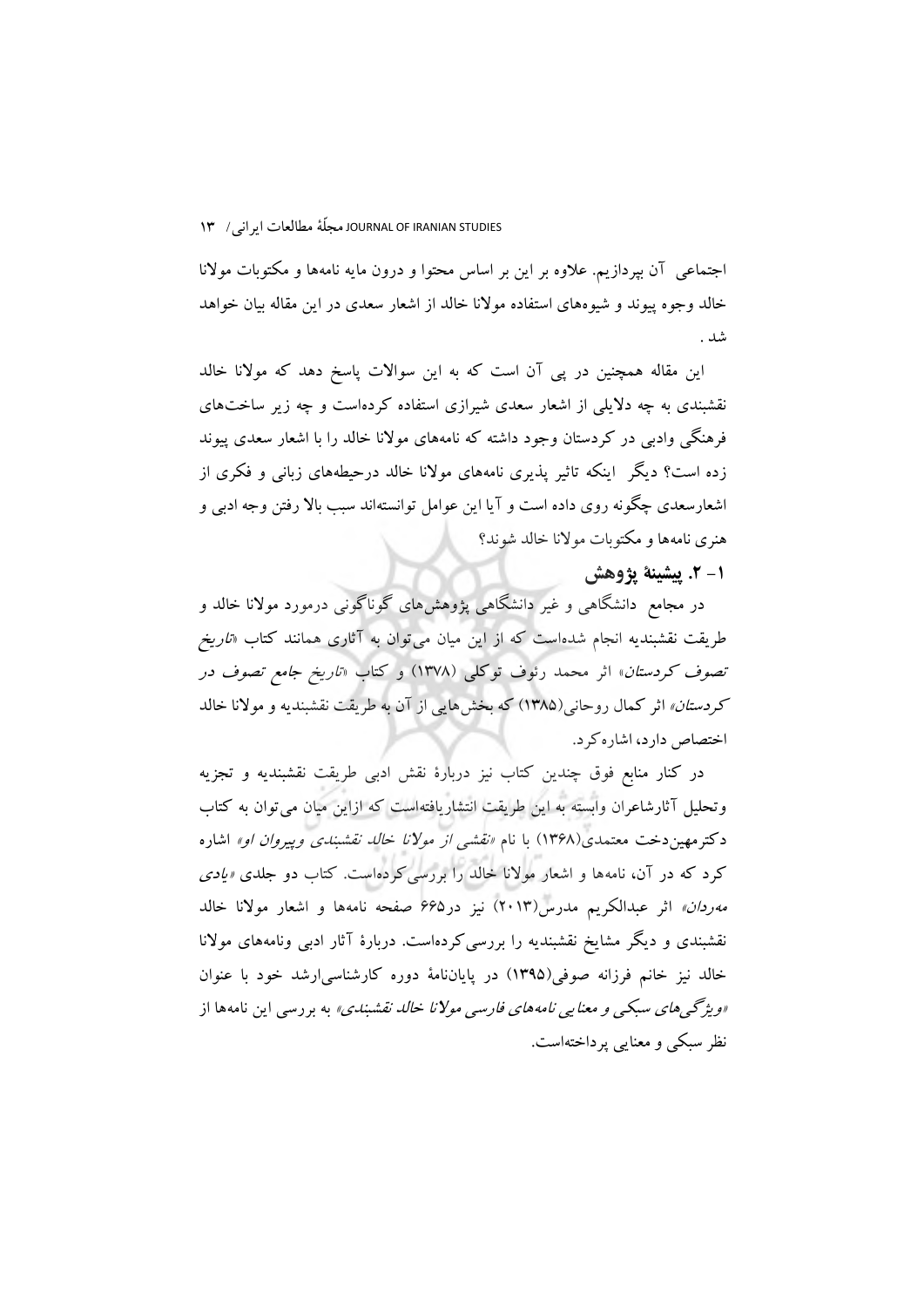اجتماعی آن بپردازیم. عالوه بر این بر اساس محتوا و درون مایه نامهها و مکتوبات موالنا خالد وجوه پیوند و شیوههای استفاده موالنا خالد از اشعار سعدی در این مقاله بیان خواهد شد .

این مقاله همچنین در پی آن است که به این سواالت پاسخ دهد که موالنا خالد نقشبندی به چه دالیلی از اشعار سعدی شیرازی استفاده کردهاست و چه زیر ساختهای فرهنگی وادبی در کردستان وجود داشته که نامههای موالنا خالد را با اشعار سعدی پیوند زده است؟ دیگر اینکه تاثیر پذیری نامههای موالنا خالد درحیطههای زبانی و فکری از اشعارسعدی چگونه روی داده است و آیا این عوامل توانستهاند سبب باال رفتن وجه ادبی و هنری نامهها و مکتوبات موالنا خالد شوند؟

**-1 .2 پیشینة پژوهش**

در مجامع دانشگاهی و غیر دانشگاهی پژوهشهای گوناگونی درمورد موالنا خالد و طریقت نقشبندیه انجام شدهاست که از این میان میتوان به آثاری همانند کتاب »تاریخ تص*وف کردستان*» اثر محمد رئوف توکلی (۱۳۷۸) و کتاب *«تاریخ جامع تصوف در* کر*دستان»* اثر کمال روحانی(۱۳۸۵) که بخشهایی از آن به طریقت نقشبندیه و مولانا خالد اختصاص دارد، اشارهکرد.

در کنار منابع فوق چندین کتاب نیز دربارة نقش ادبی طریقت نقشبندیه و تجزیه وتحلیل آثارشاعران وابسته به این طریقت انتشاریافتهاست که ازاین میان میتوان به کتاب دکترمهین دخت معتمدی(۱۳۶۸) با نام *«نقشی از مولانا خالد نقشبندی وپیروان او»* اشاره کرد که در آن، نامهها و اشعار موالنا خالد را بررسیکردهاست. کتاب دو جلدی »یادی مهردان« اثر عبدالکریم مدرس)2013( نیز در665 صفحه نامهها و اشعار موالنا خالد نقشبندی و دیگر مشایخ نقشبندیه را بررسیکردهاست. دربارة آثار ادبی ونامههای موالنا خالد نیز خانم فرزانه صوفی)1395( در پایاننامۀ دوره کارشناسیارشد خود با عنوان »ویژگیهای سبکی و معنایی نامههای فارسی موالنا خالد نقشبندی« به بررسی این نامهها از نظر سبکی و معنایی پرداختهاست.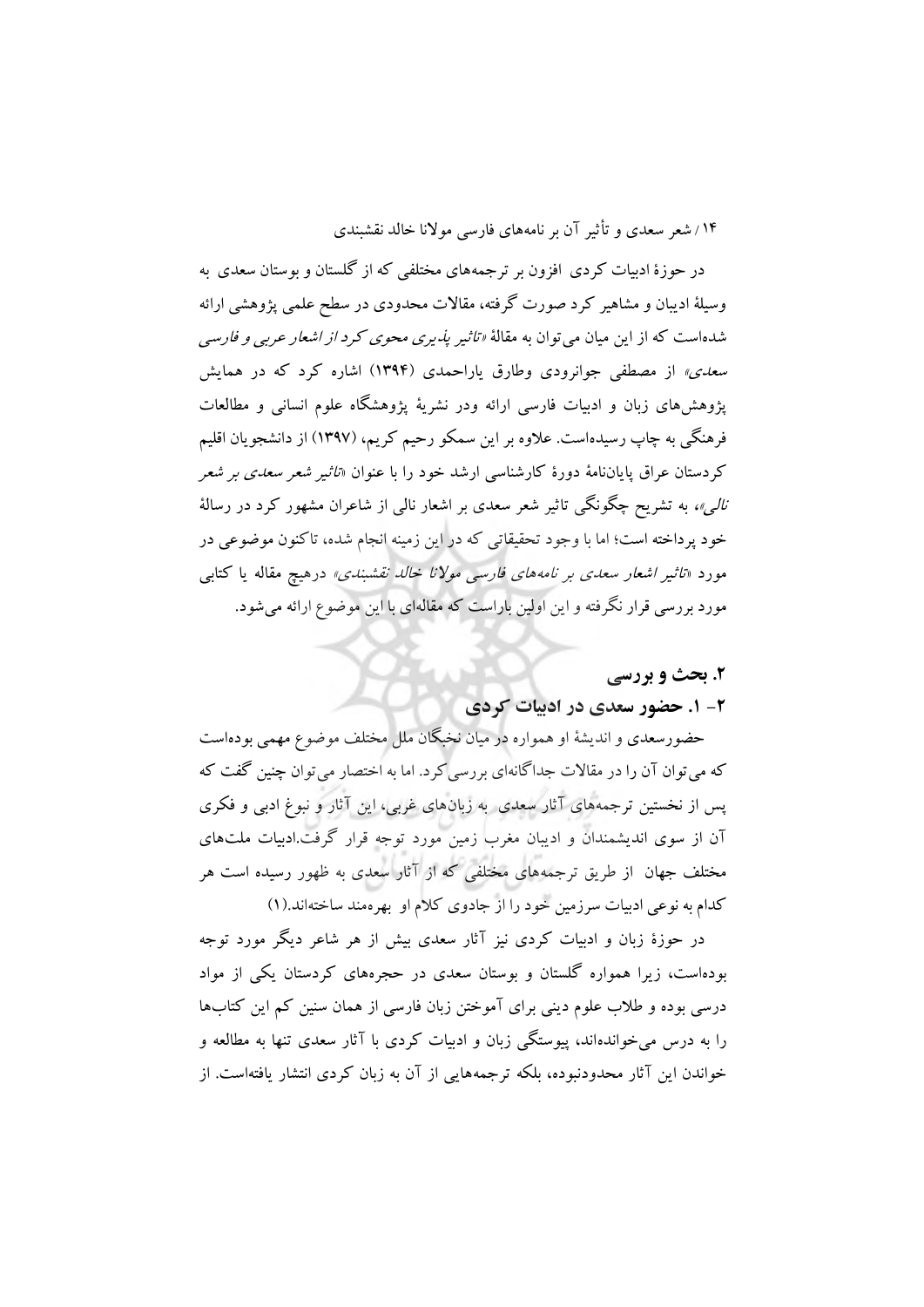در حوزة ادبیات کردی افزون بر ترجمههای مختلفی که از گلستان و بوستان سعدی به وسیلۀ ادیبان و مشاهیر کرد صورت گرفته، مقاالت محدودی در سطح علمی پژوهشی ارائه شدهاست که از این میان میتوان به مقالۀ »تاثیر پذیری محوی کرد از اشعار عربی و فارسی س*عدی»* از مصطفی جوانرودی وطارق یاراحمدی (۱۳۹۴) اشاره کرد که در همایش پژوهشهای زبان و ادبیات فارسی ارائه ودر نشریۀ پژوهشگاه علوم انسانی و مطالعات فرهنگی به چاپ رسیدهاست. عالوه بر این سمکو رحیم کریم، )1397( از دانشجویان اقلیم کردستان عراق پایاننامۀ دورة کارشناسی ارشد خود را با عنوان »تاثیر شعر سعدی بر شعر نال<sub>ی</sub>»، به تشریح چگونگی تاثیر شعر سعدی بر اشعار نال<sub>ی</sub> از شاعران مشهور کرد در رسالۀ خود پرداخته است؛ اما با وجود تحقیقاتی که در این زمینه انجام شده، تاکنون موضوعی در مورد »تاثیر اشعار سعدی بر نامههای فارسی موالنا خالد نقشبندی« درهیچ مقاله یا کتابی مورد بررسی قرار نگرفته و این اولین باراست که مقالهای با این موضوع ارائه میشود.

# **.2 بحث و بررسی**

# **-2 .1 حضور سعدی در ادبیات کردی**

حضورسعدی و اندیشۀ او همواره در میان نخبگان ملل مختلف موضوع مهمی بودهاست که می توان آن را در مقالات جداگانهای بررسی کرد. اما به اختصار می توان چنین گفت که پس از نخستین ترجمههای آثار سعدی به زبانهای غربی، این آثار و نبوغ ادبی و فکری آن از سوی اندیشمندان و ادیبان مغرب زمین مورد توجه قرار گرفت.ادبیات ملتهای مختلف جهان از طریق ترجمههای مختلفی که از آثار سعدی به ظهور رسیده است هر کدام به نوعی ادبیات سرزمین خود را از جادوی کالم او بهرهمند ساختهاند.)1(

در حوزة زبان و ادبیات کردی نیز آثار سعدی بیش از هر شاعر دیگر مورد توجه بودهاست، زیرا همواره گلستان و بوستان سعدی در حجرههای کردستان یکی از مواد درسی بوده و طالب علوم دینی برای آموختن زبان فارسی از همان سنین کم این کتابها را به درس میخواندهاند، پیوستگی زبان و ادبیات کردی با آثار سعدی تنها به مطالعه و خواندن این آثار محدودنبوده، بلکه ترجمههایی از آن به زبان کردی انتشار یافتهاست. از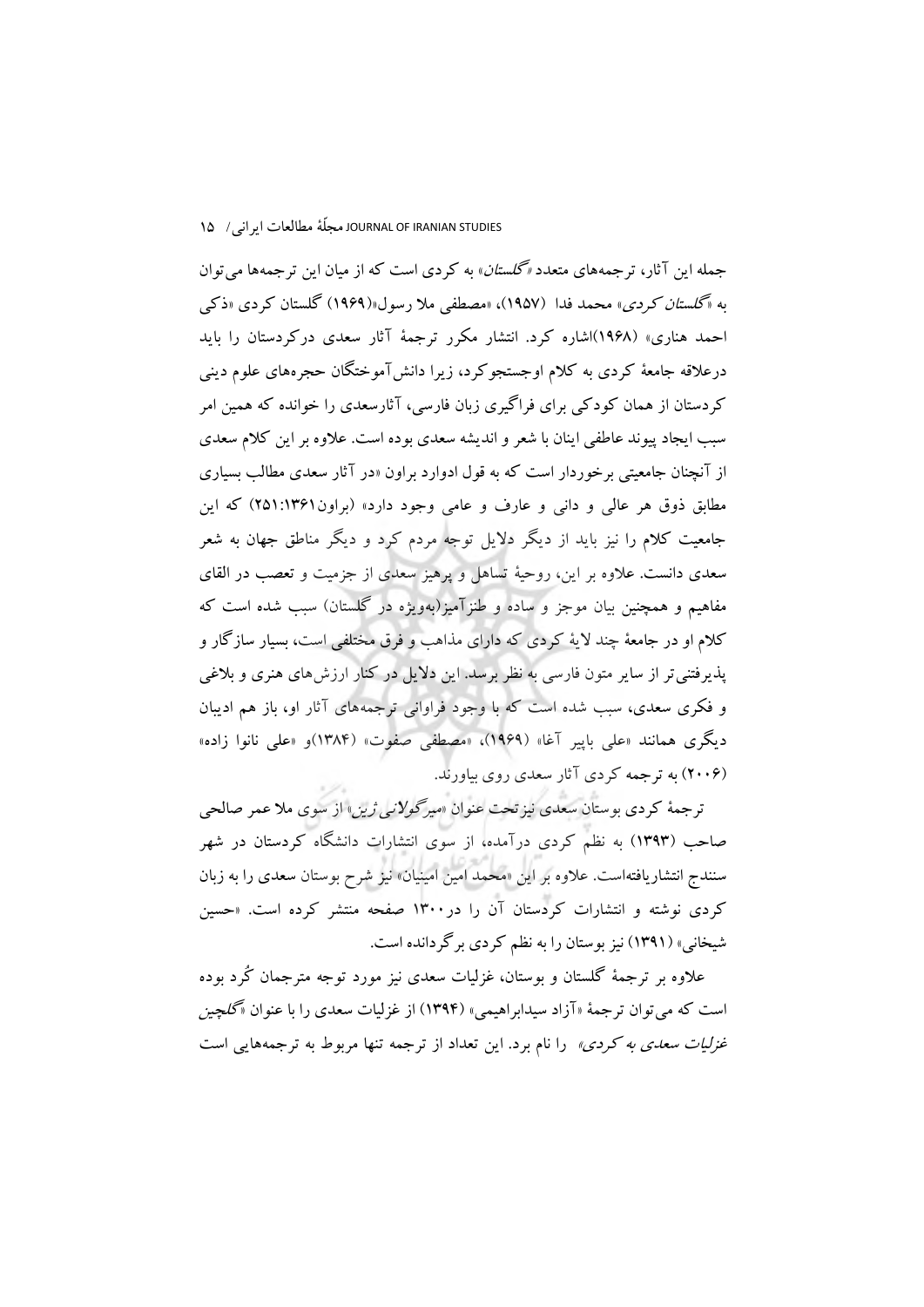جمله این آثار، ترجمههای متعدد *«گلستان*» به کردی است که از میان این ترجمهها می توان به «گل*ستان کردی»* محمد فدا (۱۹۵۷)، «مصطفی ملا رسول«(۱۹۶۹) گلستان کردی «ذکی احمد هناری« )1968(اشاره کرد. انتشار مکرر ترجمۀ آثار سعدی درکردستان را باید درعالقه جامعۀ کردی به کالم اوجستجوکرد، زیرا دانشآموختگان حجرههای علوم دینی کردستان از همان کودکی برای فراگیری زبان فارسی، آثارسعدی را خوانده که همین امر سبب ایجاد پیوند عاطفی اینان با شعر و اندیشه سعدی بوده است. عالوه بر این کالم سعدی از آنچنان جامعیتی برخوردار است که به قول ادوارد براون »در آثار سعدی مطالب بسیاری مطابق ذوق هر عالی و دانی و عارف و عامی وجود دارد« )براون251:1361( که این جامعیت کالم را نیز باید از دیگر دالیل توجه مردم کرد و دیگر مناطق جهان به شعر سعدی دانست. عالوه بر این، روحیۀ تساهل و پرهیز سعدی از جزمیت و تعصب در القای مفاهیم و همچنین بیان موجز و ساده و طنزآمیز)بهویژه در گلستان( سبب شده است که کالم او در جامعۀ چند الیۀ کردی که دارای مذاهب و فرق مختلفی است، بسیار سازگار و پذیرفتنیتر از سایر متون فارسی به نظر برسد. این دالیل در کنار ارزشهای هنری و بالغی و فکری سعدی، سبب شده است که با وجود فراوانی ترجمههای آثار او، باز هم ادیبان دیگری همانند »علی باپیر آغا« )1969(، »مصطفی صفوت« )1384(و »علی نانوا زاده« )2006( به ترجمه کردی آثار سعدی روی بیاورند.

ترجمۀ کردی بوستان سعدی نیز تحت عنوان «*میرگولانی ژین*» از سوی ملا عمر صالحی صاحب )1393( به نظم کردی درآمده، از سوی انتشارات دانشگاه کردستان در شهر سنندج انتشاریافتهاست. عالوه بر این »محمد امین امینیان« نیز شرح بوستان سعدی را به زبان کردی نوشته و انتشارات کردستان آن را در1300 صفحه منتشر کرده است. »حسین شیخانی« )1391( نیز بوستان را به نظم کردی برگردانده است.

عالوه بر ترجمۀ گلستان و بوستان، غزلیات سعدی نیز مورد توجه مترجمان کُرد بوده است که میتوان ترجمۀ »آزاد سیدابراهیمی« )1394( از غزلیات سعدی را با عنوان »گلچین غز*لیات سعدی به کردی»* را نام برد. این تعداد از ترجمه تنها مربوط به ترجمههایی است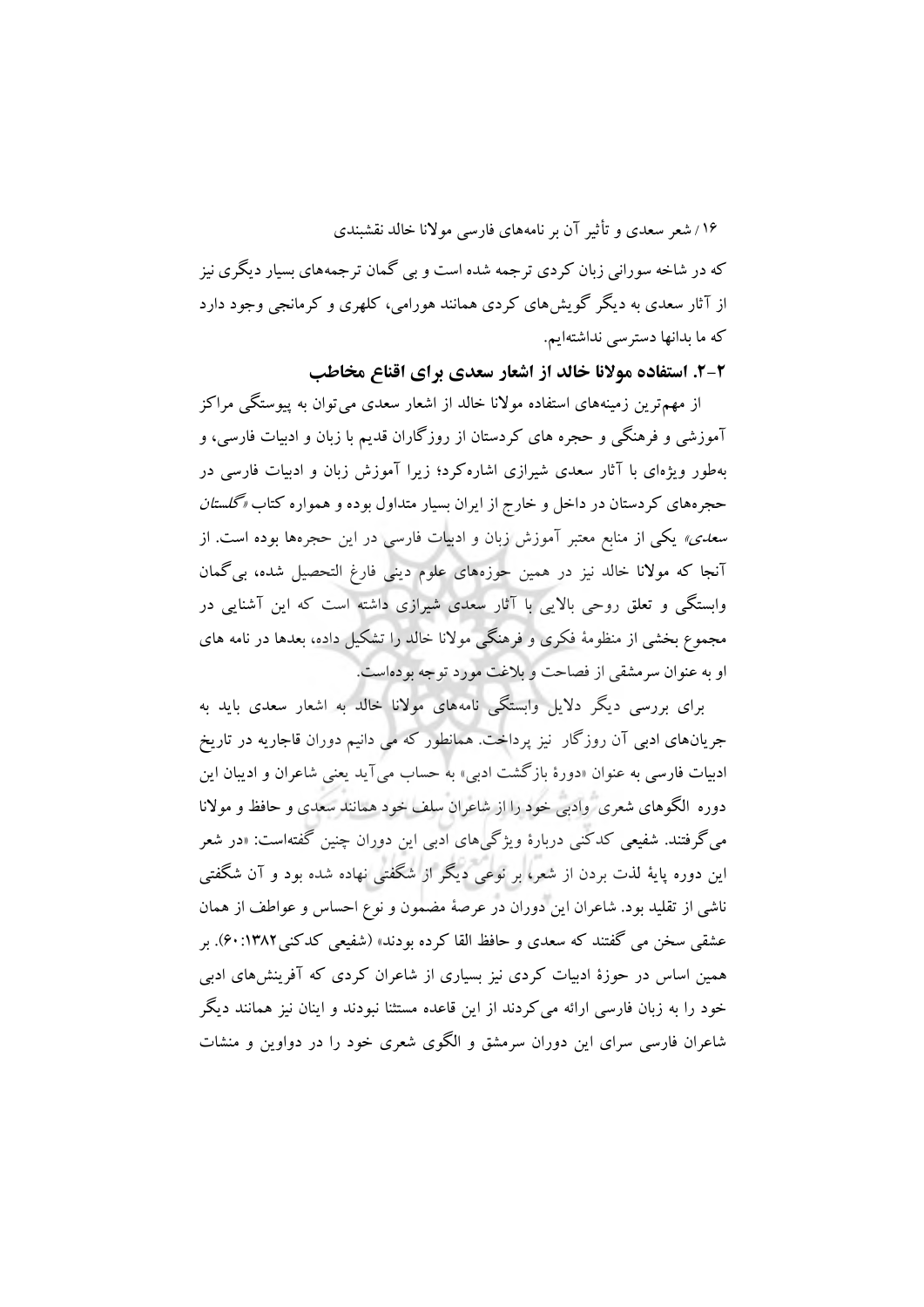که در شاخه سورانی زبان کردی ترجمه شده است و بی گمان ترجمههای بسیار دیگری نیز از آثار سعدی به دیگر گویشهای کردی همانند هورامی، کلهری و کرمانجی وجود دارد که ما بدانها دسترسی نداشتهایم.

**.2-2 استفاده موالنا خالد از اشعار سعدی برای اقناع مخاطب**

از مهمترین زمینههای استفاده موالنا خالد از اشعار سعدی میتوان به پیوستگی مراکز آموزشی و فرهنگی و حجره های کردستان از روزگاران قدیم با زبان و ادبیات فارسی، و بهطور ویژهای با آثار سعدی شیرازی اشارهکرد؛ زیرا آموزش زبان و ادبیات فارسی در حجرههای کردستان در داخل و خارج از ایران بسیار متداول بوده و همواره کتاب »گلستان س*عدی»* یکی از منابع معتبر آموزش زبان و ادبیات فارسی در این حجرهها بوده است. از آنجا که موالنا خالد نیز در همین حوزههای علوم دینی فارغ التحصیل شده، بیگمان وابستگی و تعلق روحی باالیی با آثار سعدی شیرازی داشته است که این آشنایی در مجموع بخشی از منظومۀ فکری و فرهنگی موالنا خالد را تشکیل داده، بعدها در نامه های او به عنوان سرمشقی از فصاحت و بالغت مورد توجه بودهاست.

برای بررسی دیگر دالیل وابستگی نامههای موالنا خالد به اشعار سعدی باید به جریانهای ادبی آن روزگار نیز پرداخت. همانطور که می دانیم دوران قاجاریه در تاریخ ادبیات فارسی به عنوان »دورة بازگشت ادبی« به حساب میآید یعنی شاعران و ادیبان این دوره الگوهای شعری وادبی خود را از شاعران سلف خود همانند سعدی و حافظ و موالنا میگرفتند. شفیعی کدکنی دربارة ویژگیهای ادبی این دوران چنین گفتهاست: »در شعر این دوره پایۀ لذت بردن از شعر، بر نوعی دیگر از شگفتی نهاده شده بود و آن شگفتی ناشی از تقلید بود. شاعران این دوران در عرصۀ مضمون و نوع احساس و عواطف از همان عشقی سخن می گفتند که سعدی و حافظ القا کرده بودند» (شفیعی کدکنی1۳۸۲:۶۰). بر همین اساس در حوزة ادبیات کردی نیز بسیاری از شاعران کردی که آفرینشهای ادبی خود را به زبان فارسی ارائه میکردند از این قاعده مستثنا نبودند و اینان نیز همانند دیگر شاعران فارسی سرای این دوران سرمشق و الگوی شعری خود را در دواوین و منشات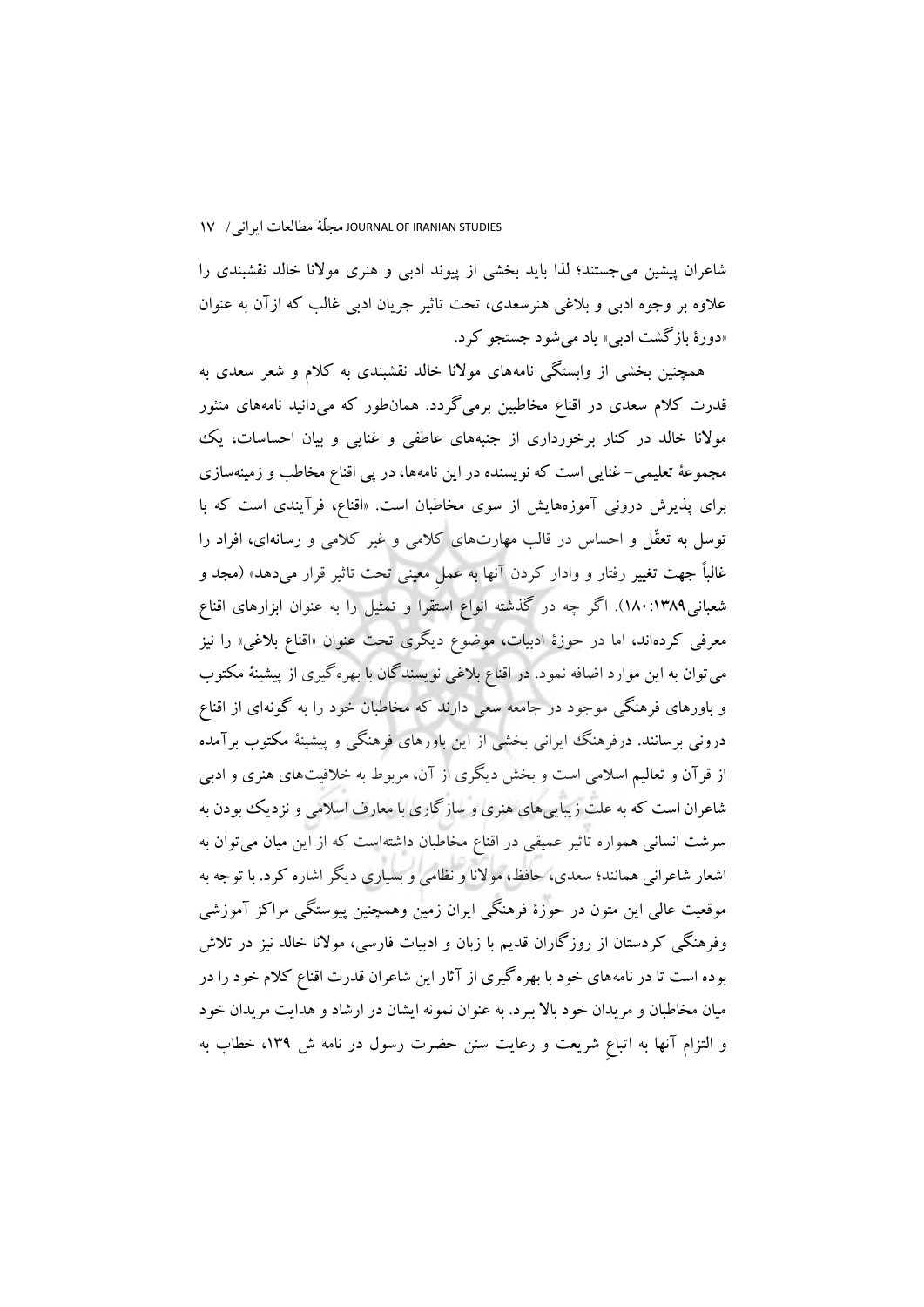شاعران پیشین میجستند؛ لذا باید بخشی از پیوند ادبی و هنری موالنا خالد نقشبندی را عالوه بر وجوه ادبی و بالغی هنرسعدی، تحت تاثیر جریان ادبی غالب که ازآن به عنوان »دورة بازگشت ادبی« یاد میشود جستجو کرد.

همچنین بخشی از وابستگی نامههای موالنا خالد نقشبندی به کالم و شعر سعدی به قدرت کالم سعدی در اقناع مخاطبین برمیگردد. همانطور که میدانید نامههای منثور موالنا خالد در کنار برخورداری از جنبههای عاطفی و غنایی و بیان احساسات، یک مجموعۀ تعلیمی- غنایی است که نویسنده در این نامهها، در پی اقناع مخاطب و زمینهسازی برای پذیرش درونی آموزههایش از سوی مخاطبان است. »اقناع، فرآیندی است که با توسل به تعقّل و احساس در قالب مهارتهای کالمی و غیر کالمی و رسانهای، افراد را غالباً جهت تغییر رفتار و وادار کردن آنها به عملِ معینی تحت تاثیر قرار میدهد« )مجد و شعبانی180:1389(. اگر چه در گذشته انواع استقرا و تمثیل را به عنوان ابزارهای اقناع معرفی کردهاند، اما در حوزة ادبیات، موضوع دیگری تحت عنوان »اقناع بالغی« را نیز میتوان به این موارد اضافه نمود. در اقناع بالغی نویسندگان با بهرهگیری از پیشینۀ مکتوب و باورهای فرهنگی موجود در جامعه سعی دارند که مخاطبان خود را به گونهای از اقناع درونی برسانند. درفرهنگ ایرانی بخشی از این باورهای فرهنگی و پیشینۀ مکتوب برآمده از قرآن و تعالیم اسالمی است و بخش دیگری از آن، مربوط به خالقیتهای هنری و ادبی شاعران است که به علت زیباییهای هنری و سازگاری با معارف اسالمی و نزدیک بودن به سرشت انسانی همواره تاثیر عمیقی در اقناع مخاطبان داشتهاست که از این میان میتوان به اشعار شاعرانی همانند؛ سعدی، حافظ، موالنا و نظامی و بسیاری دیگر اشاره کرد. با توجه به موقعیت عالی این متون در حوزة فرهنگی ایران زمین وهمچنین پیوستگی مراکز آموزشی وفرهنگی کردستان از روزگاران قدیم با زبان و ادبیات فارسی، موالنا خالد نیز در تالش بوده است تا در نامههای خود با بهرهگیری از آثار این شاعران قدرت اقناع کالم خود را در میان مخاطبان و مریدان خود باال ببرد. به عنوان نمونه ایشان در ارشاد و هدایت مریدان خود و التزام آنها به اتباعِ شریعت و رعایت سنن حضرت رسول در نامه ش ،139 خطاب به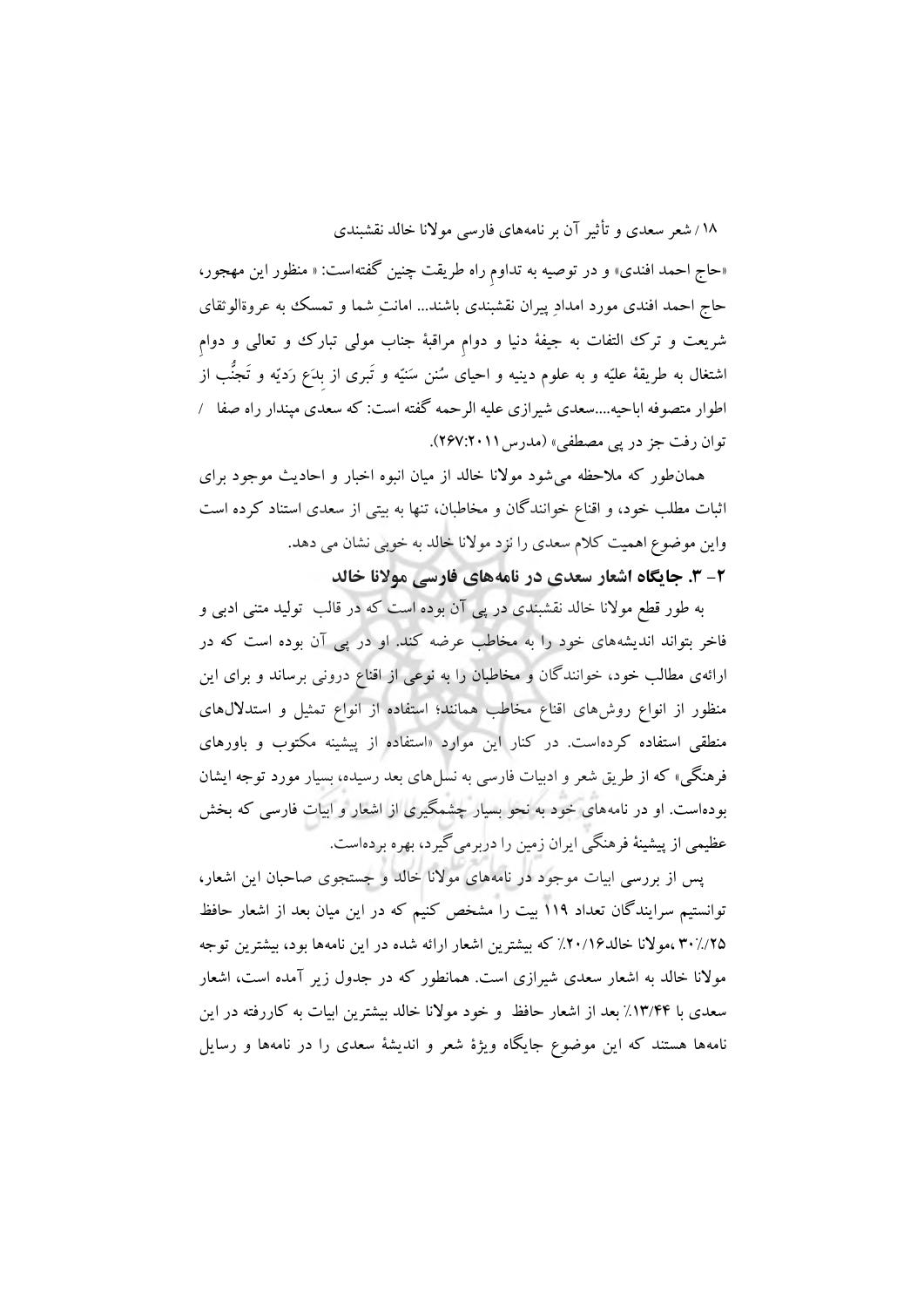«حاج احمد افندی» و در توصیه به تداوم راه طریقت چنین گفتهاست: « منظور این مهجور، حاج احمد افندی مورد امدادِ پیران نقشبندی باشند... امانتِ شما و تمسک به عروةالوثقای شریعت و ترک التفات به جیفۀ دنیا و دوامِ مراقبۀ جناب مولی تبارک و تعالی و دوامِ اشتغال به طریقۀ علیّه و به علوم دینیه و احیای سُنن سَنیّه و تَبری از بِدَع رَدیّه و تَجنُّب از اطوار متصوفه اباحیه....سعدی شیرازی علیه الرحمه گفته است: که سعدی مپندار راه صفا / توان رفت جز در پی مصطفی» (مدرس ۲۰۱۱:۲۶۷).

همانطور که مالحظه میشود موالنا خالد از میان انبوه اخبار و احادیث موجود برای اثبات مطلب خود، و اقناع خوانندگان و مخاطبان، تنها به بیتی از سعدی استناد کرده است واین موضوع اهمیت کالم سعدی را نزد موالنا خالد به خوبی نشان می دهد.

**-2 .3 جايگاه اشعار سعدی در نامههای فارسی موالنا خالد**

به طور قطع موالنا خالد نقشبندی در پی آن بوده است که در قالب تولید متنی ادبی و فاخر بتواند اندیشههای خود را به مخاطب عرضه کند. او در پی آن بوده است که در ارائهی مطالب خود، خوانندگان و مخاطبان را به نوعی از اقناع درونی برساند و برای این منظور از انواع روشهای اقناع مخاطب همانند؛ استفاده از انواع تمثیل و استداللهای منطقی استفاده کردهاست. در کنار این موارد »استفاده از پیشینه مکتوب و باورهای فرهنگی« که از طریق شعر و ادبیات فارسی به نسلهای بعد رسیده، بسیار مورد توجه ایشان بودهاست. او در نامههای خود به نحو بسیار چشمگیری از اشعار و ابیات فارسی که بخش عظیمی از پیشینۀ فرهنگی ایران زمین را دربرمیگیرد، بهره بردهاست.

پس از بررسی ابیات موجود در نامههای موالنا خالد و جستجوی صاحبان این اشعار، توانستیم سرایندگان تعداد 119 بیت را مشخص کنیم که در این میان بعد از اشعار حافظ 30%/25 ،موالنا خالد%20/16 که بیشترین اشعار ارائه شده در این نامهها بود، بیشترین توجه موالنا خالد به اشعار سعدی شیرازی است. همانطور که در جدول زیر آمده است، اشعار سعدی با %13/44 بعد از اشعار حافظ و خود موالنا خالد بیشترین ابیات به کاررفته در این نامهها هستند که این موضوع جایگاه ویژة شعر و اندیشۀ سعدی را در نامهها و رسایل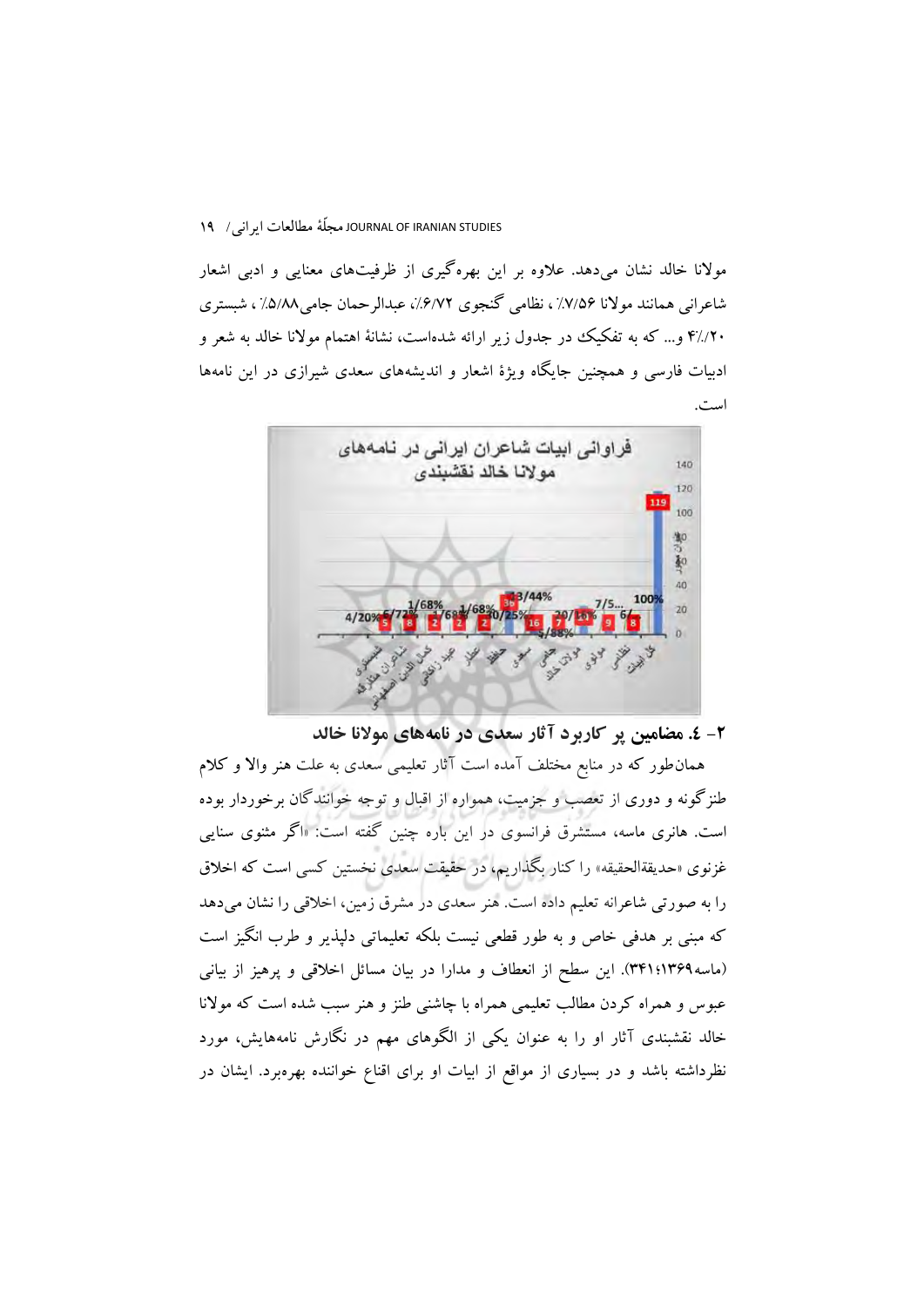موالنا خالد نشان میدهد. عالوه بر این بهرهگیری از ظرفیتهای معنایی و ادبی اشعار شاعرانی همانند موالنا %7/56 ، نظامی گنجوی ،%6/72 عبدالرحمان جامی%5/88 ، شبستری 4%/20 و... که به تفکیک در جدول زیر ارائه شدهاست، نشانۀ اهتمام موالنا خالد به شعر و ادبیات فارسی و همچنین جایگاه ویژة اشعار و اندیشههای سعدی شیرازی در این نامهها است.



**-2 .4 مضامین پر کاربرد آثار سعدی در نامههای موالنا خالد**

همانطور که در منابع مختلف آمده است آثار تعلیمی سعدی به علت هنر واال و کالم طنزگونه و دوری از تعصب و جزمیت، همواره از اقبال و توجه خوانندگان برخوردار بوده است. هانری ماسه، مستشرق فرانسوی در این باره چنین گفته است: »اگر مثنوی سنایی غزنوی »حدیقةالحقیقه« را کنار بگذاریم، در حقیقت سعدی نخستین کسی است که اخالق را به صورتی شاعرانه تعلیم داده است. هنر سعدی در مشرق زمین، اخالقی را نشان میدهد که مبنی بر هدفی خاص و به طور قطعی نیست بلکه تعلیماتی دلپذیر و طرب انگیز است )ماسه1369؛341(. این سطح از انعطاف و مدارا در بیان مسائل اخالقی و پرهیز از بیانی عبوس و همراه کردن مطالب تعلیمی همراه با چاشنی طنز و هنر سبب شده است که موالنا خالد نقشبندی آثار او را به عنوان یکی از الگوهای مهم در نگارش نامههایش، مورد نظرداشته باشد و در بسیاری از مواقع از ابیات او برای اقناع خواننده بهرهبرد. ایشان در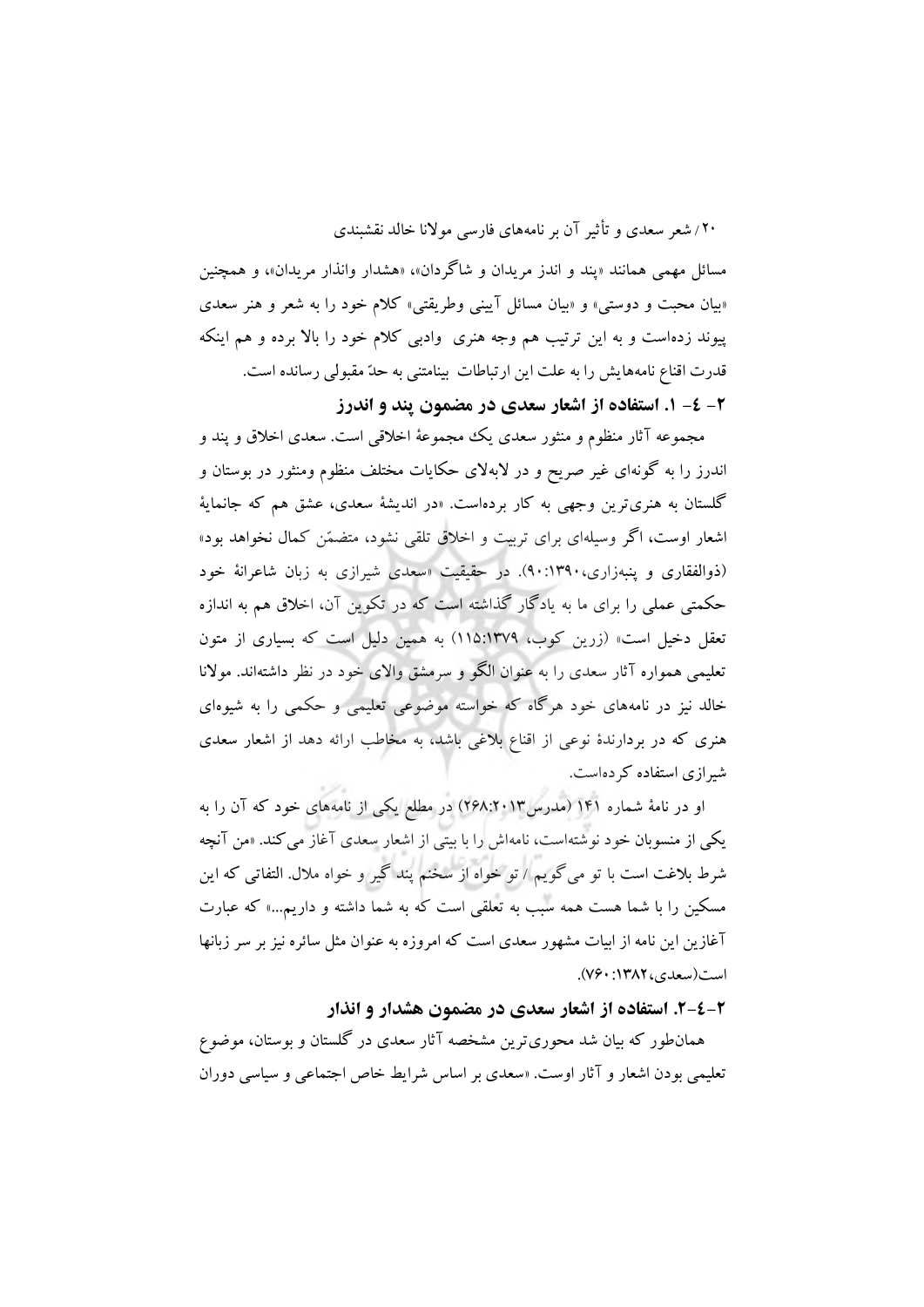مسائل مهمی همانند «پند و اندز مریدان و شاگردان»، «هشدار وانذار مریدان»، و همچنین «بیان محبت و دوستی» و «بیان مسائل آیینی وطریقتی» کلام خود را به شعر و هنر سعدی پیوند زدهاست و به این ترتیب هم وجه هنری وادبی کالم خود را باال برده و هم اینکه قدرت اقناع نامههایش را به علت این ارتباطات بینامتنی به حدّ مقبولی رسانده است.

**-2 -4 .1 استفاده از اشعار سعدی در مضمون پند و اندرز** 

مجموعه آثار منظوم و منثور سعدی یک مجموعۀ اخالقی است. سعدی اخالق و پند و اندرز را به گونهای غیر صریح و در البهالی حکایات مختلف منظوم ومنثور در بوستان و گلستان به هنریترین وجهی به کار بردهاست. »در اندیشۀ سعدی، عشق هم که جانمایۀ اشعار اوست، اگر وسیلهای برای تربیت و اخالق تلقی نشود، متضمّن کمال نخواهد بود« )ذوالفقاری و پنبهزاری90:1390،(. در حقیقیت »سعدی شیرازی به زبان شاعرانۀ خود حکمتی عملی را برای ما به یادگار گذاشته است که در تکوین آن، اخالق هم به اندازه تعقل دخیل است« )زرین کوب، 115:1379( به همین دلیل است که بسیاری از متون تعلیمی همواره آثار سعدی را به عنوان الگو و سرمشق واالی خود در نظر داشتهاند. موالنا خالد نیز در نامههای خود هرگاه که خواسته موضوعی تعلیمی و حکمی را به شیوهای هنری که در بردارندة نوعی از اقناع بالغی باشد، به مخاطب ارائه دهد از اشعار سعدی شیرازی استفاده کردهاست.

او در نامۀ شماره 141 )مدرس268:2013( در مطلع یکی از نامههای خود که آن را به یکی از منسوبان خود نوشتهاست، نامهاش را با بیتی از اشعار سعدی آغاز میکند. »من آنچه شرط بالغت است با تو میگویم / تو خواه از سخنم پند گیر و خواه مالل. التفاتی که این مسکین را با شما هست همه سبب به تعلقی است که به شما داشته و داریم...« که عبارت آغازین این نامه از ابیات مشهور سعدی است که امروزه به عنوان مثل سائره نیز بر سر زبانها است(سعدی، ۱۳۸۲: ۷۶۰).

**.2-4-2 استفاده از اشعار سعدی در مضمون هشدار و انذار**

همانطور که بیان شد محوریترین مشخصه آثار سعدی در گلستان و بوستان، موضوع تعلیمی بودن اشعار و آثار اوست. »سعدی بر اساس شرایط خاص اجتماعی و سیاسی دوران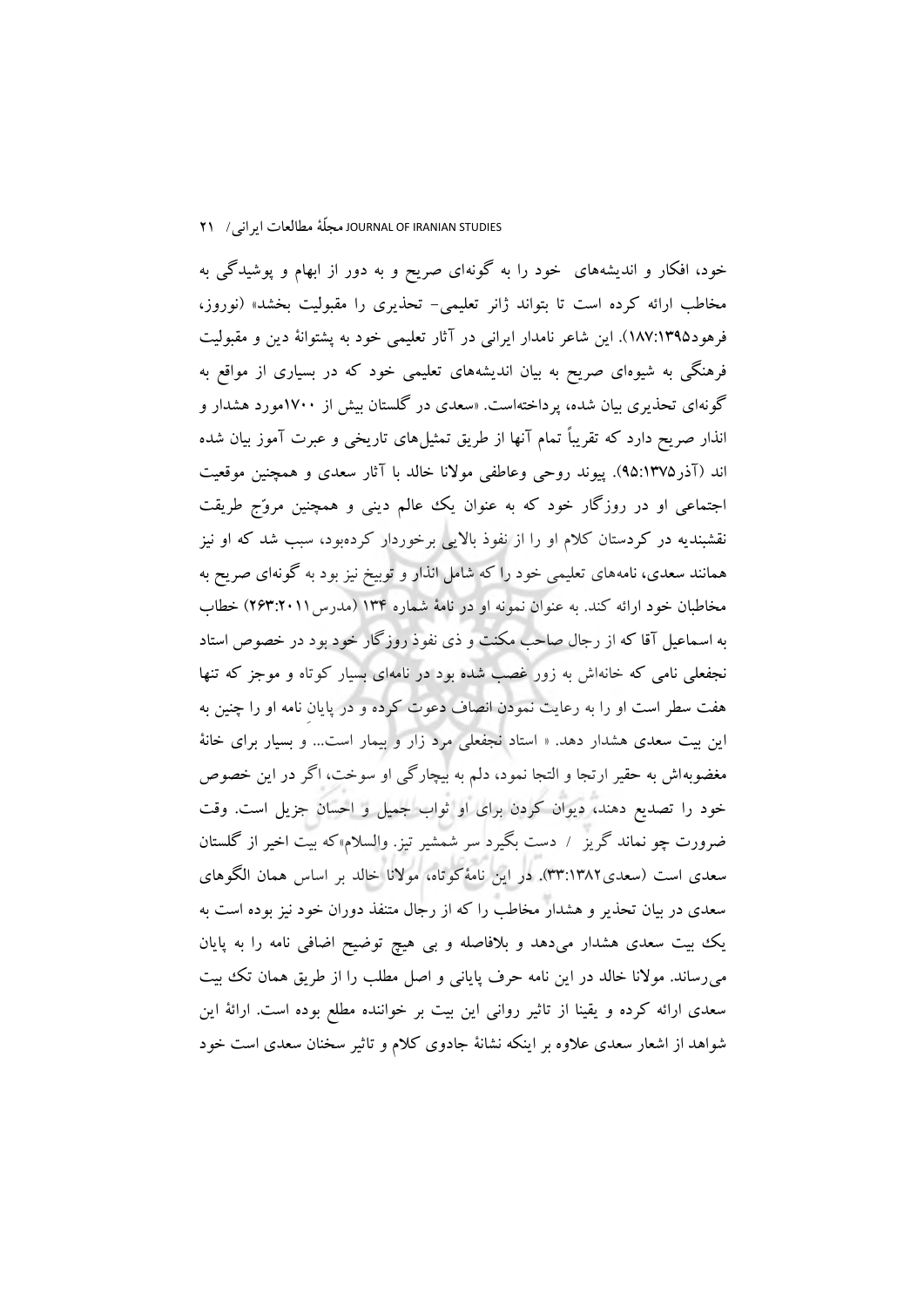خود، افکار و اندیشههای خود را به گونهای صریح و به دور از ابهام و پوشیدگی به مخاطب ارائه کرده است تا بتواند ژانر تعلیمی- تحذیری را مقبولیت بخشد» (نوروز، فرهود187:1395(. این شاعر نامدار ایرانی در آثار تعلیمی خود به پشتوانۀ دین و مقبولیت فرهنگی به شیوهای صریح به بیان اندیشههای تعلیمی خود که در بسیاری از مواقع به گونهای تحذیری بیان شده، پرداختهاست. »سعدی در گلستان بیش از 1700مورد هشدار و انذار صریح دارد که تقریباً تمام آنها از طریق تمثیلهای تاریخی و عبرت آموز بیان شده اند )آذر95:1375(. پیوند روحی وعاطفی موالنا خالد با آثار سعدی و همچنین موقعیت اجتماعی او در روزگار خود که به عنوان یک عالم دینی و همچنین مروّج طریقت نقشبندیه در کردستان کالم او را از نفوذ باالیی برخوردار کردهبود، سبب شد که او نیز همانند سعدی، نامههای تعلیمی خود را که شامل انذار و توبیخ نیز بود به گونهای صریح به مخاطبان خود ارائه کند. به عنوان نمونه او در نامۀ شماره ۱۳۴ (مدرس ۲۰۱۱:۲۶۳) خطاب به اسماعیل آقا که از رجال صاحب مکنت و ذی نفوذ روزگار خود بود در خصوص استاد نجفعلی نامی که خانهاش به زور غصب شده بود در نامهای بسیار کوتاه و موجز که تنها هفت سطر است او را به رعایت نمودن انصاف دعوت کرده و در پایانِ نامه او را چنین به این بیت سعدی هشدار دهد. » استاد نجفعلی مرد زار و بیمار است... و بسیار برای خانۀ مغضوبهاش به حقیر ارتجا و التجا نمود، دلم به بیچارگی او سوخت، اگر در این خصوص خود را تصدیع دهند، دیوان کردن برای او ثواب جمیل و احسان جزیل است. وقت ضرورت چو نماند گریز / دست بگیرد سر شمشیر تیز. والسالم«که بیت اخیر از گلستان سعدی است )سعدی33:1382(. در این نامۀکوتاه، موالنا خالد بر اساس همان الگوهای سعدی در بیان تحذیر و هشدار مخاطب را که از رجال متنفذ دوران خود نیز بوده است به یک بیت سعدی هشدار میدهد و بالفاصله و بی هیچ توضیح اضافی نامه را به پایان میرساند. موالنا خالد در این نامه حرف پایانی و اصل مطلب را از طریق همان تک بیت سعدی ارائه کرده و یقینا از تاثیر روانی این بیت بر خواننده مطلع بوده است. ارائۀ این شواهد از اشعار سعدی عالوه بر اینکه نشانۀ جادوی کالم و تاثیر سخنان سعدی است خود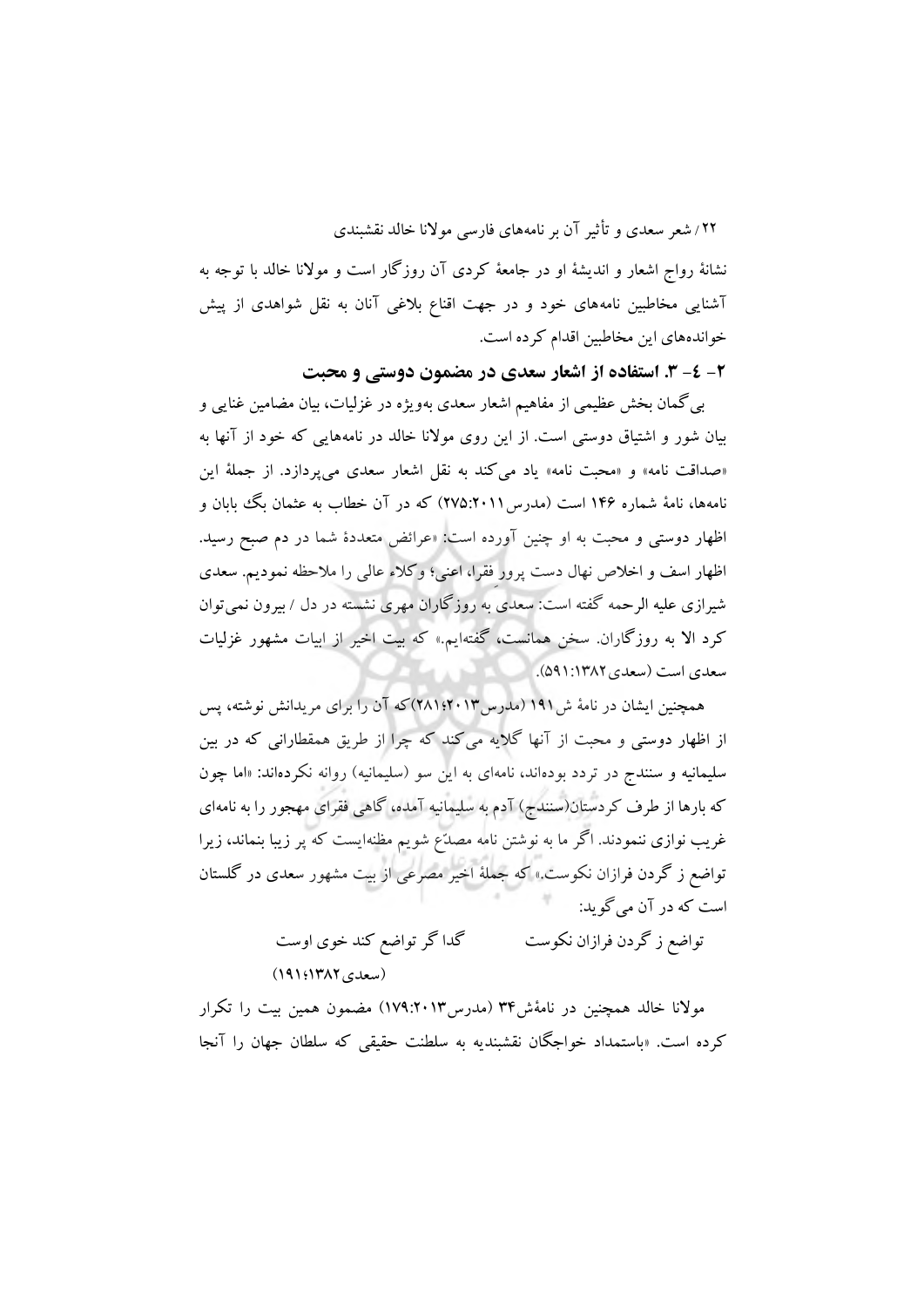نشانۀ رواج اشعار و اندیشۀ او در جامعۀ کردی آن روزگار است و موالنا خالد با توجه به آشنایی مخاطبین نامههای خود و در جهت اقناع بالغی آنان به نقل شواهدی از پیش خواندههای این مخاطبین اقدام کرده است.

**-2 -4 .3 استفاده از اشعار سعدی در مضمون دوستی و محبت**

بیگمان بخش عظیمی از مفاهیم اشعار سعدی بهویژه در غزلیات، بیان مضامین غنایی و بیان شور و اشتیاق دوستی است. از این روی موالنا خالد در نامههایی که خود از آنها به »صداقت نامه« و »محبت نامه« یاد میکند به نقل اشعار سعدی میپردازد. از جملۀ این نامهها، نامهٔ شماره ۱۴۶ است (مدرس ۲۰۱۱:۲۷۵) که در آن خطاب به عثمان بگ بابان و اظهار دوستی و محبت به او چنین آورده است: »عرائض متعددة شما در دم صبح رسید. اظهار اسف و اخالص نهال دست پرور ِفقرا، اعنی؛ وکالء عالی را مالحظه نمودیم. سعدی شیرازی علیه الرحمه گفته است: سعدی به روزگاران مهری نشسته در دل / بیرون نمیتوان کرد اال به روزگاران. سخن همانست، گفتهایم.« که بیت اخیر از ابیات مشهور غزلیات سعدی است (سعدی ۱۳۸۲: ۵۹۱).

همچنین ایشان در نامۀ ش191 )مدرس2013؛281(که آن را برای مریدانش نوشته، پس از اظهار دوستی و محبت از آنها گالیه میکند که چرا از طریق همقطارانی که در بین سلیمانیه و سنندج در تردد بودهاند، نامهای به این سو (سلیمانیه) روانه نکردهاند: «اما چون که بارها از طرف کردستان(سنندج) آدم به سلیمانیه آمده، گاهی فقرای مهجور را به نامهای غریب نوازی ننمودند. اگر ما به نوشتن نامه مصدّع شویم مظنهایست که پر زیبا بنماند، زیرا تواضع ز گردن فرازان نکوست.« که جملۀ اخیر مصرعی از بیت مشهور سعدی در گلستان است که در آن میگوید:

> تواضع ز گردن فرازان نکوست گدا گر تواضع کند خوی اوست )سعدی1382؛191(

موالنا خالد همچنین در نامۀش34 )مدرس179:2013( مضمون همین بیت را تکرار کرده است. »باستمداد خواجگان نقشبندیه به سلطنت حقیقی که سلطان جهان را آنجا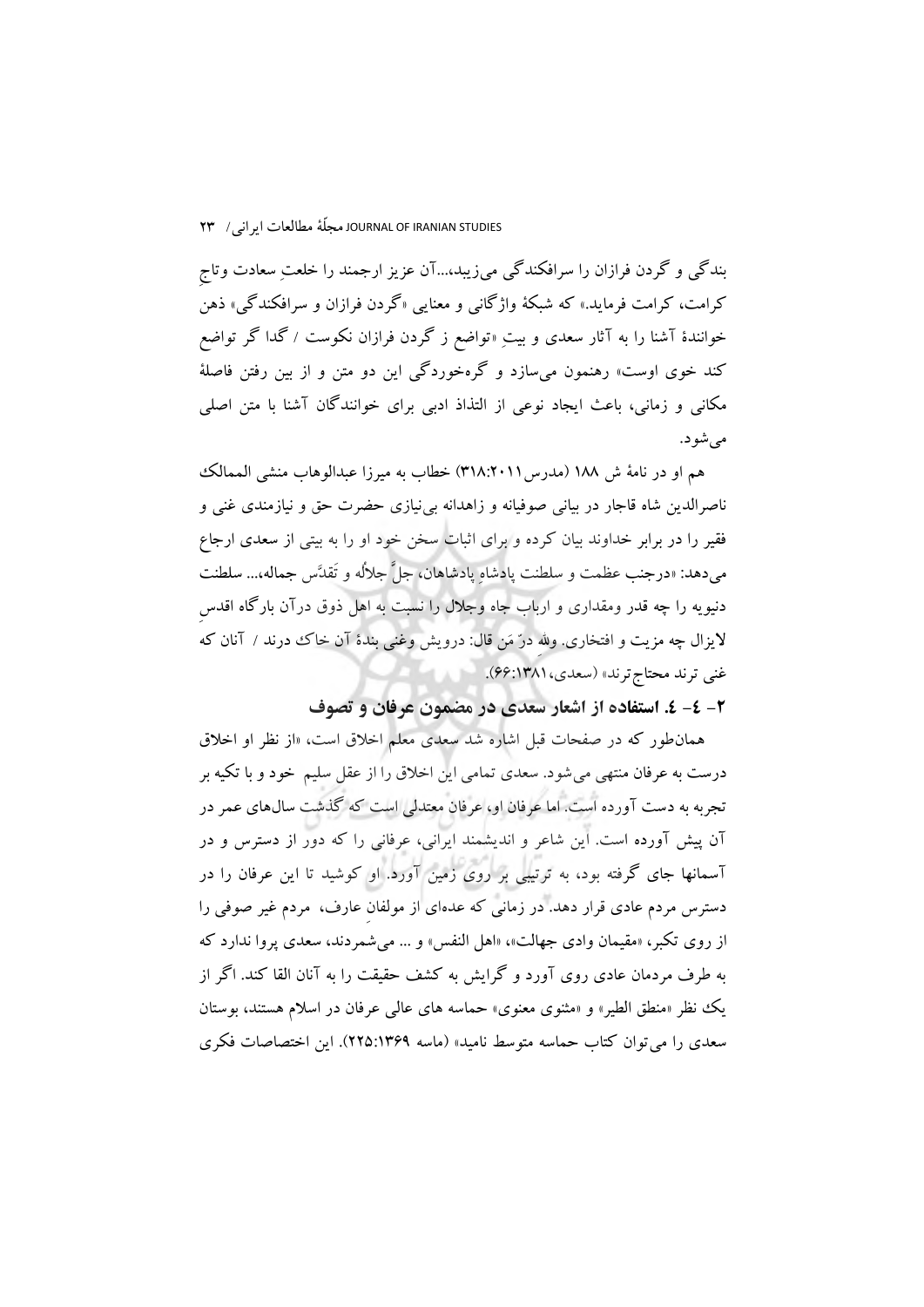بندگی و گردن فرازان را سرافکندگی میزیبد...،آن عزیز ارجمند را خلعتِ سعادت وتاجِ کرامت، کرامت فرماید.« که شبکۀ واژگانی و معنایی »گردن فرازان و سرافکندگی« ذهن خوانندة آشنا را به آثار سعدی و بیتِ »تواضع ز گردن فرازان نکوست / گدا گر تواضع کند خوی اوست» رهنمون میسازد و گرهخوردگی این دو متن و از بین رفتن فاصلۀ مکانی و زمانی، باعث ایجاد نوعی از التذاذ ادبی برای خوانندگان آشنا با متن اصلی مے شو د.

هم او در نامۀ ش ١٨٨ (مدرس ٣١٨:٢٠١١) خطاب به میرزا عبدالوهاب منشی الممالک ناصرالدین شاه قاجار در بیانی صوفیانه و زاهدانه بینیازی حضرت حق و نیازمندی غنی و فقیر را در برابر خداوند بیان کرده و برای اثبات سخن خود او را به بیتی از سعدی ارجاع میدهد: »درجنب عظمت و سلطنت پادشاهِ پادشاهان، جلَّ جاللُه و تَقدَّس جماله...، سلطنت دنیویه را چه قدر ومقداری و ارباب جاه وجالل را نسبت به اهل ذوق درآن بارگاه اقدسِ لایزال چه مزیت و افتخاری. ولله درّ مَن قال: درویش وغنی بندهٔ آن خاک ددرند / آنان که غنی ترند محتاج ترند» (سعدی، ۶۶:۱۳۸۱).

**-2 -4 .4 استفاده از اشعار سعدی در مضمون عرفان و تصوف**

همانطور که در صفحات قبل اشاره شد سعدی معلم اخالق است، »از نظر او اخالق درست به عرفان منتهی میشود. سعدی تمامی این اخالق را از عقل سلیم خود و با تکیه بر تجربه به دست آورده است. اما عرفان او، عرفان معتدلی است که گذشت سالهای عمر در آن پیش آورده است. این شاعر و اندیشمند ایرانی، عرفانی را که دور از دسترس و در آسمانها جای گرفته بود، به ترتیبی بر روی زمین آورد. او کوشید تا این عرفان را در دسترس مردم عادی قرار دهد. در زمانی که عدهای از مولفانِ عارف، مردم غیر صوفی را از روی تکبر، »مقیمان وادی جهالت«، »اهل النفس« و ... میشمردند، سعدی پروا ندارد که به طرف مردمان عادی روی آورد و گرایش به کشف حقیقت را به آنان القا کند. اگر از یک نظر »منطق الطیر« و »مثنوی معنوی« حماسه های عالی عرفان در اسالم هستند، بوستان سعدی را میتوان کتاب حماسه متوسط نامید« )ماسه 225:1369(. این اختصاصات فکری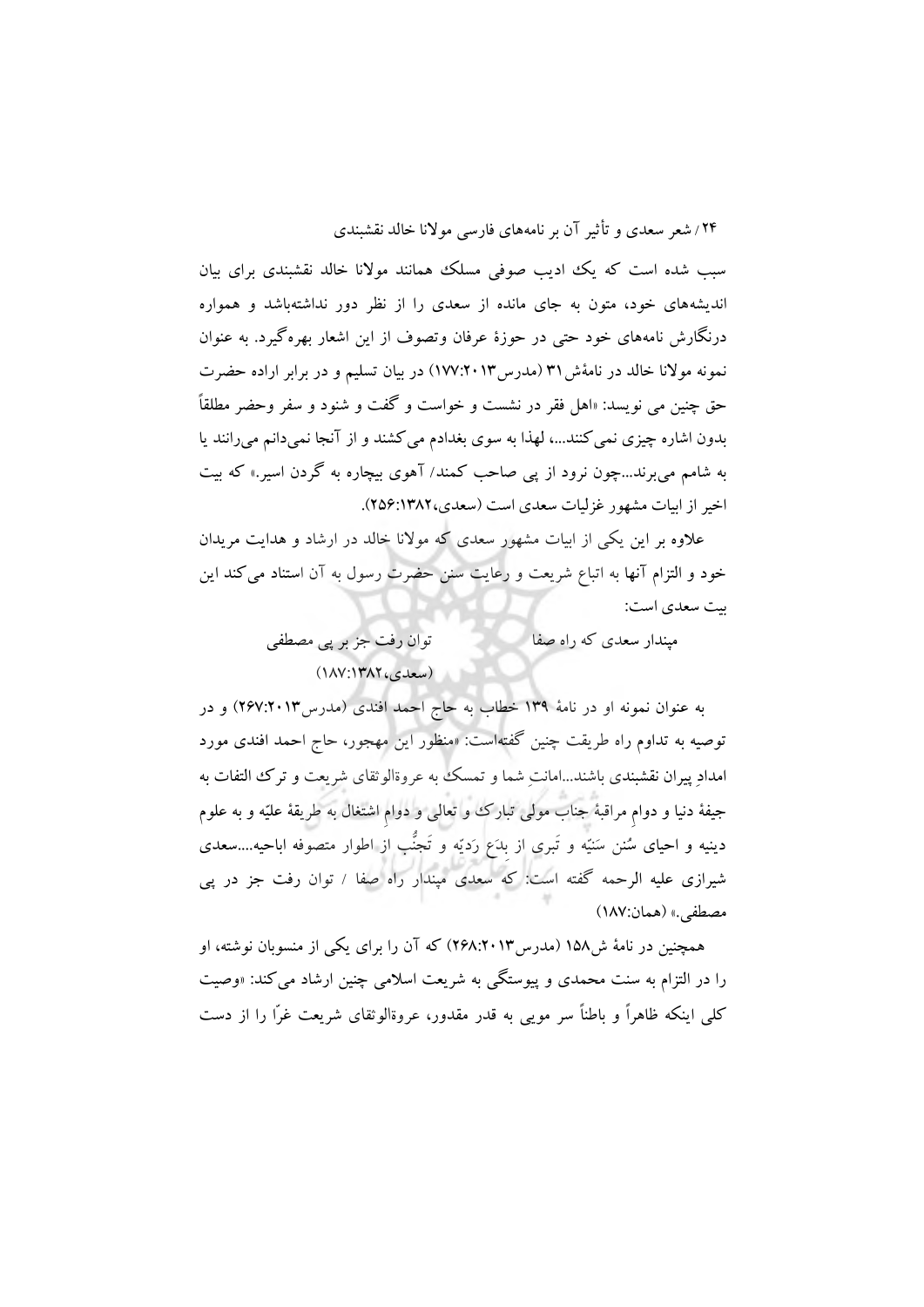سبب شده است که یک ادیب صوفی مسلک همانند موالنا خالد نقشبندی برای بیان اندیشههای خود، متون به جای مانده از سعدی را از نظر دور نداشتهباشد و همواره درنگارش نامههای خود حتی در حوزة عرفان وتصوف از این اشعار بهرهگیرد. به عنوان نمونه موالنا خالد در نامۀش31 )مدرس177:2013( در بیان تسلیم و در برابر اراده حضرت حق چنین می نویسد: »اهل فقر در نشست و خواست و گفت و شنود و سفر وحضر مطلقاً بدون اشاره چیزی نمیکنند،... لهذا به سوی بغدادم میکشند و از آنجا نمیدانم میرانند یا به شامم میبرند...چون نرود از پی صاحب کمند/ آهوی بیچاره به گردن اسیر.« که بیت اخیر از ابیات مشهور غزلیات سعدی است (سعدی، ۲۵۶:۱۳۸۲).

عالوه بر این یکی از ابیات مشهور سعدی که موالنا خالد در ارشاد و هدایت مریدان خود و التزام آنها به اتباع شریعت و رعایت سنن حضرت رسول به آن استناد میکند این بیت سعدی است:

> مپندار سعدی که راه صفا توان رفت جز بر پی مصطفی  $(1\text{AV}:1\text{YAY}_6, \text{clax})$

به عنوان نمونه او در نامۀ 139 خطاب به حاج احمد افندی )مدرس267:2013( و در توصیه به تداوم راه طریقت چنین گفتهاست: »منظور این مهجور، حاج احمد افندی مورد امدادِ پیران نقشبندی باشند...امانتِ شما و تمسک به عروةالوثقای شریعت و ترک التفات به جیفۀ دنیا و دوامِ مراقبۀ جناب مولی تبارک و تعالی و دوامِ اشتغال به طریقۀ علیّه و به علوم دینیه و احیای سُنن سَنیّه و تَبری از بِدَع رَدیّه و تَجنُّب از اطوار متصوفه اباحیه....سعدی شیرازی علیه الرحمه گفته است: که سعدی مپندار راه صفا / توان رفت جز در پی مصطفى.» (همان:١٨٧)

همچنین در نامۀ ش158 )مدرس268:2013( که آن را برای یکی از منسوبان نوشته، او را در التزام به سنت محمدی و پیوستگی به شریعت اسالمی چنین ارشاد میکند: »وصیت کلی اینکه ظاهراً و باطناً سر مویی به قدر مقدور، عروةالوثقای شریعت غرّا را از دست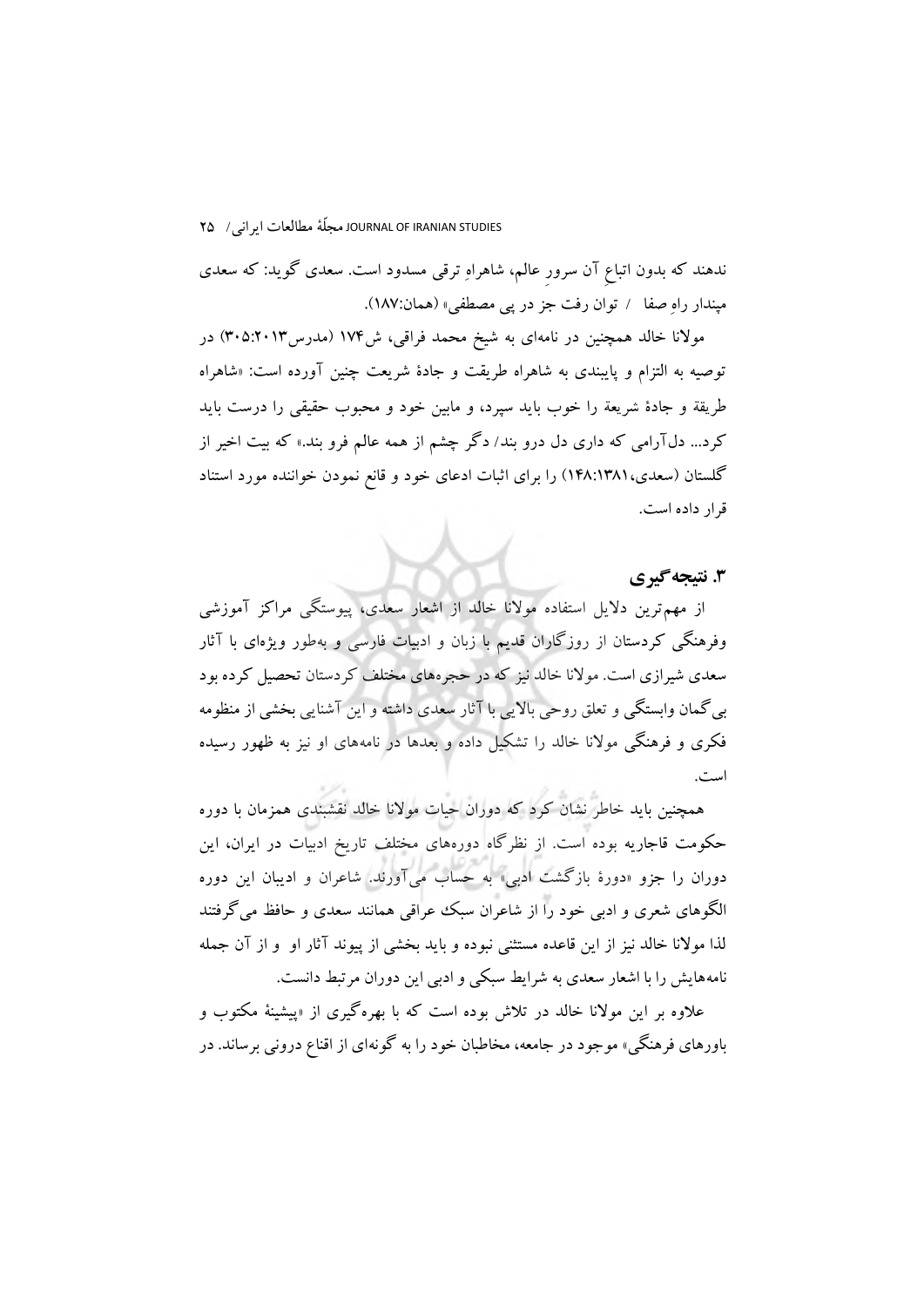ندهند که بدون اتباعِ آن سرورِ عالم، شاهراهِ ترقی مسدود است. سعدی گوید: که سعدی مپندار راهِ صفا / توان رفت جز در پی مصطفی» (همان:۱۸۷).

مولانا خالد همچنین در نامهای به شیخ محمد فراقی، ش۱۷۴ (مدرس۱۲۰۱۳) در توصیه به التزام و پایبندی به شاهراه طریقت و جادة شریعت چنین آورده است: »شاهراه طریقة و جادة شریعة را خوب باید سپرد، و مابین خود و محبوب حقیقی را درست باید کرد... دلآرامی که داری دل درو بند/ دگر چشم از همه عالم فرو بند.« که بیت اخیر از گلستان )سعدی148:1381،( را برای اثبات ادعای خود و قانع نمودن خواننده مورد استناد قرار داده است.

# **.3 نتیجهگیری**

از مهمترین دالیل استفاده موالنا خالد از اشعار سعدی، پیوستگی مراکز آموزشی وفرهنگی کردستان از روزگاران قدیم با زبان و ادبیات فارسی و بهطور ویژهای با آثار سعدی شیرازی است. موالنا خالد نیز که در حجرههای مختلف کردستان تحصیل کرده بود بیگمان وابستگی و تعلق روحی باالیی با آثار سعدی داشته و این آشنایی بخشی از منظومه فکری و فرهنگی موالنا خالد را تشکیل داده و بعدها در نامههای او نیز به ظهور رسیده است.

همچنین باید خاطر نشان کرد که دوران حیات موالنا خالد نقشبندی همزمان با دوره حکومت قاجاریه بوده است. از نظرگاه دورههای مختلف تاریخ ادبیات در ایران، این دوران را جزو »دورة بازگشت ادبی« به حساب میآورند. شاعران و ادیبان این دوره الگوهای شعری و ادبی خود را از شاعران سبک عراقی همانند سعدی و حافظ میگرفتند لذا موالنا خالد نیز از این قاعده مستثنی نبوده و باید بخشی از پیوند آثار او و از آن جمله نامههایش را با اشعار سعدی به شرایط سبکی و ادبی این دوران مرتبط دانست.

عالوه بر این موالنا خالد در تالش بوده است که با بهرهگیری از »پیشینۀ مکتوب و باورهای فرهنگی« موجود در جامعه، مخاطبان خود را به گونهای از اقناع درونی برساند. در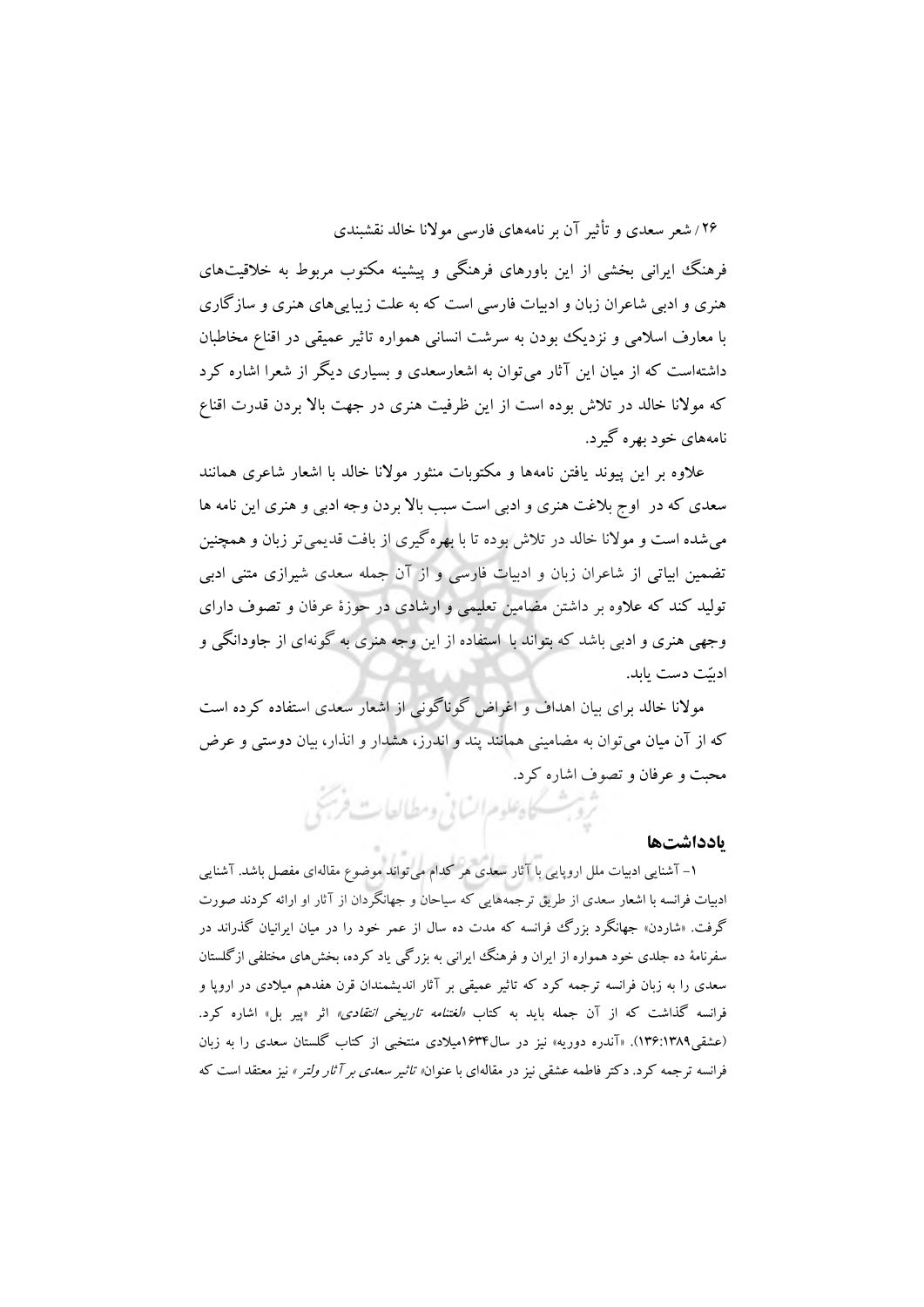فرهنگ ایرانی بخشی از این باورهای فرهنگی و پیشینه مکتوب مربوط به خالقیتهای هنری و ادبی شاعران زبان و ادبیات فارسی است که به علت زیباییهای هنری و سازگاری با معارف اسالمی و نزدیک بودن به سرشت انسانی همواره تاثیر عمیقی در اقناع مخاطبان داشتهاست که از میان این آثار میتوان به اشعارسعدی و بسیاری دیگر از شعرا اشاره کرد که موالنا خالد در تالش بوده است از این ظرفیت هنری در جهت باال بردن قدرت اقناع نامههای خود بهره گیرد.

عالوه بر این پیوند یافتن نامهها و مکتوبات منثور موالنا خالد با اشعار شاعری همانند سعدی که در اوج بالغت هنری و ادبی است سبب باال بردن وجه ادبی و هنری این نامه ها میشده است و موالنا خالد در تالش بوده تا با بهرهگیری از بافت قدیمیتر زبان و همچنین تضمین ابیاتی از شاعران زبان و ادبیات فارسی و از آن جمله سعدی شیرازی متنی ادبی تولید کند که عالوه بر داشتن مضامین تعلیمی و ارشادی در حوزة عرفان و تصوف دارای وجهی هنری و ادبی باشد که بتواند با استفاده از این وجه هنری به گونهای از جاودانگی و ادبیّت دست یابد.

موالنا خالد برای بیان اهداف و اغراض گوناگونی از اشعار سعدی استفاده کرده است که از آن میان میتوان به مضامینی همانند پند و اندرز، هشدار و انذار، بیان دوستی و عرض محبت و عرفان و تصوف اشاره کرد.<br>شروع مسئل اوعلوم السابی ومطالعات فرستی

### **يادداشتها**

 -1 آشنایی ادبیات ملل اروپایی با آثار سعدی هر کدام میتواند موضوع مقالهای مفصل باشد. آشنایی ادبیات فرانسه با اشعار سعدی از طریق ترجمههایی که سیاحان و جهانگردان از آثار او ارائه کردند صورت گرفت. «شاردن» جهانگرد بزرگ فرانسه که مدت ده سال از عمر خود را در میان ایرانیان گذراند در سفرنامۀ ده جلدی خود همواره از ایران و فرهنگ ایرانی به بزرگی یاد کرده، بخشهای مختلفی ازگلستان سعدی را به زبان فرانسه ترجمه کرد که تاثیر عمیقی بر آثار اندیشمندان قرن هفدهم میالدی در اروپا و فرانسه گذاشت که از آن جمله باید به کتاب *«لغتنامه تاریخی انتقادی»* اثر «پیر بل» اشاره کرد. )عشقی136:1389(. »آندره دوریه« نیز در سال1634میالدی منتخبی از کتاب گلستان سعدی را به زبان فرانسه ترجمه کرد. دکتر فاطمه عشقی نیز در مقالهای با عنوان» تاثیر سعدی بر آثار ولتر « نیز معتقد است که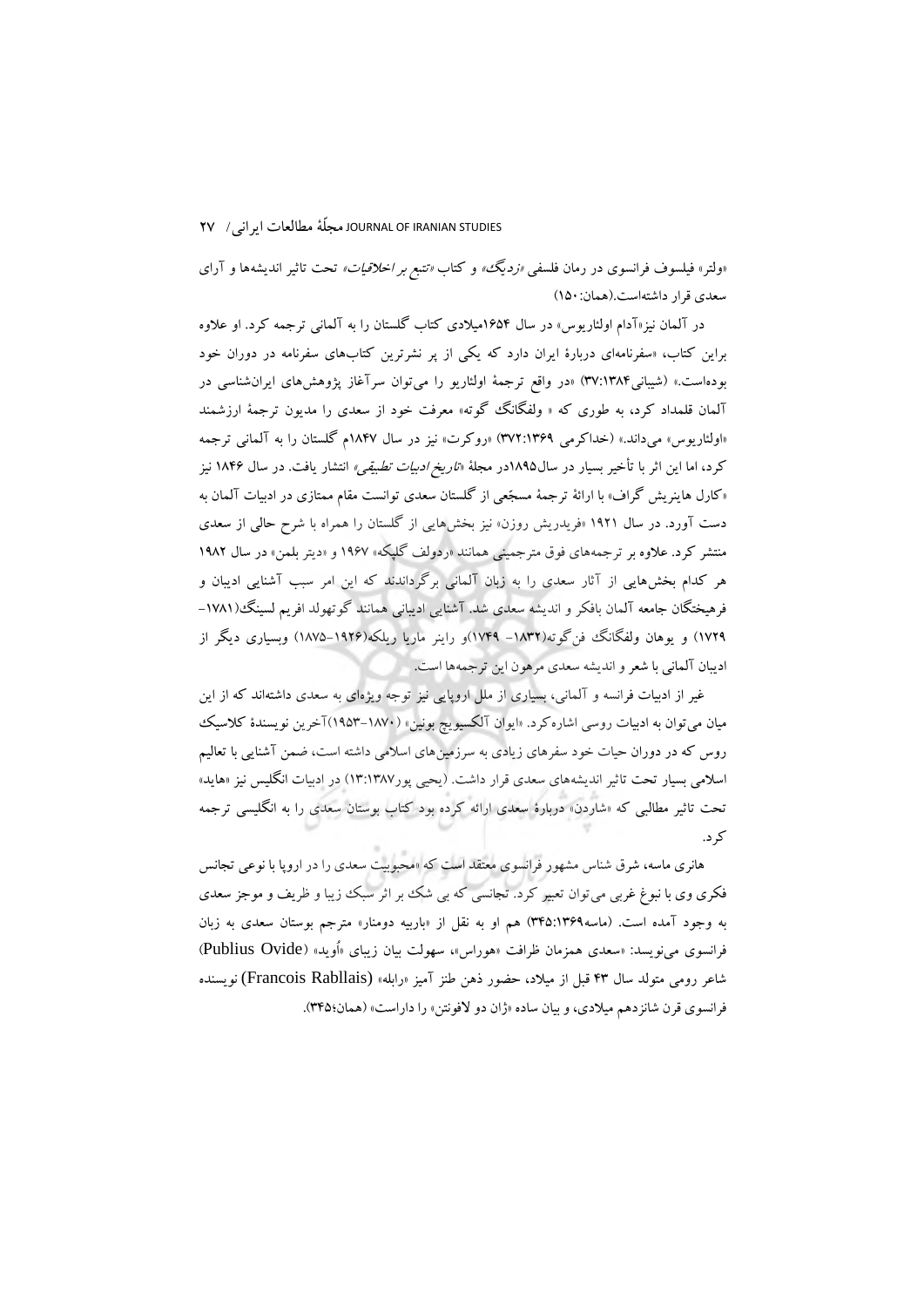«ولتر» فیلسوف فرانسوی در رمان فلسفی *«زدیگ» و کتاب «تتبع بر اخلاقیات»* تحت تاثیر اندیشهها و آرای سعدی قرار داشتهاست.)همان150:(

در آلمان نیز»آدام اولئاریوس« در سال 1654میالدی کتاب گلستان را به آلمانی ترجمه کرد. او عالوه براین کتاب، »سفرنامهای دربارة ایران دارد که یکی از پر نشرترین کتابهای سفرنامه در دوران خود بودهاست.« )شیبانی37:1384( »در واقع ترجمۀ اولئاریو را میتوان سرآغاز پژوهشهای ایرانشناسی در آلمان قلمداد کرد، به طوری که » ولفگانگ گوته« معرفت خود از سعدی را مدیون ترجمۀ ارزشمند »اولئاریوس« میداند.« )خداکرمی 372:1369( »روکرت« نیز در سال 1847م گلستان را به آلمانی ترجمه کرد، اما این اثر با تأخیر بسیار در سال۱۸۹۵در مجلۀ «*تاریخ ادبیات تطبیقی»* انتشار یافت. در سال ۱۸۴۶ نیز «کارل هاینریش گراف» با ارائۀ ترجمۀ مسجّعی از گلستان سعدی توانست مقام ممتازی در ادبیات آلمان به دست آورد. در سال 1921 »فریدریش روزن« نیز بخشهایی از گلستان را همراه با شرح حالی از سعدی منتشر کرد. عالوه بر ترجمههای فوق مترجمینی همانند »ردولف گلپکه« 1967 و »دیتر بلمن« در سال 1982 هر کدام بخشهایی از آثار سعدی را به زبان آلمانی برگرداندند که این امر سبب آشنایی ادیبان و فرهیختگان جامعه آلمان بافکر و اندیشه سعدی شد. آشنایی ادیبانی همانند گوتهولد افریم لسینگ)-1781 1729( و یوهان ولفگانگ فنگوته)-1832 1749(و راینر ماریا ریلکه)1875-1926( وبسیاری دیگر از ادیبان آلمانی با شعر و اندیشه سعدی مرهون این ترجمهها است.

غیر از ادبیات فرانسه و آلمانی، بسیاری از ملل اروپایی نیز توجه ویژهای به سعدی داشتهاند که از این میان میتوان به ادبیات روسی اشارهکرد. »ایوان آلکسیویچ بونین« )1953-1870(آخرین نویسندة کالسیک روس که در دوران حیات خود سفرهای زیادی به سرزمینهای اسالمی داشته است، ضمن آشنایی با تعالیم اسالمی بسیار تحت تاثیر اندیشههای سعدی قرار داشت. )یحیی پور13:1387( در ادبیات انگلیس نیز »هاید« تحت تاثیر مطالبی که »شاردن« دربارة سعدی ارائه کرده بود کتاب بوستان سعدی را به انگلیسی ترجمه کرد.

هانری ماسه، شرق شناس مشهور فرانسوی معتقد است که »محبوبیت سعدی را در اروپا با نوعی تجانس فکری وی با نبوغ غربی میتوان تعبیر کرد. تجانسی که بی شک بر اثر سبک زیبا و ظریف و موجز سعدی به وجود آمده است. (ماسه1۳۶۹:۳۴۵) هم او به نقل از «باربیه دومنار» مترجم بوستان سعدی به زبان فرانسوی مینویسد: «سعدی همزمان ظرافت «هوراس»، سهولت بیان زیبای «اُوید» (Publius Ovide) شاعر رومی متولد سال 43 قبل از میالد، حضور ذهن طنز آمیز »رابله« (Rabllais Francois (نویسنده فرانسوی قرن شانزدهم میلادی، و بیان ساده «ژان دو لافونتن» را داراست» (همان؛۳۴۵).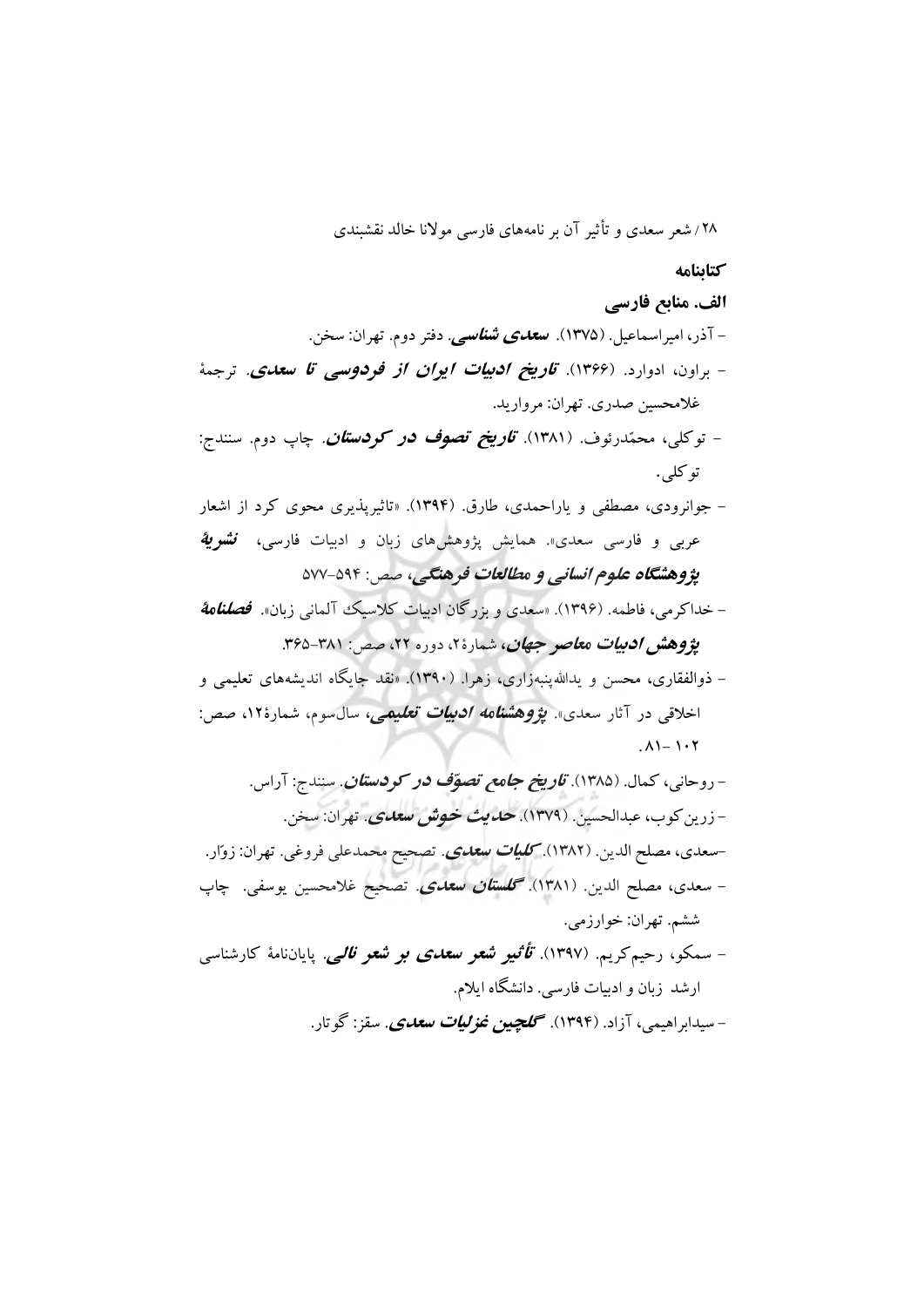**کتابنامه**

**الف. منابع فارسی** - آذر، امیراسماعیل. )1375(. **سعدی شناسی**. دفتر دوم. تهران: سخن. - براون، ادوارد. )1366(. **تاريخ ادبیات ايران از فردوسی تا سعدی**. ترجمۀ غالمحسین صدری. تهران: مروارید. - توکلی، محمّدرئوف. )1381(. **تاريخ تصوف در کردستان**. چاپ دوم. سنندج: توکلی. - جوانرودی، مصطفی و یاراحمدی، طارق. )1394(. »تاثیرپذیری محوی کرد از اشعار عربی و فارسی سعدی». همایش پژوهشهای زبان و ادبیات فارسی، **نشری***ة* **پژوهشگاه علوم انسانی و مطالعات فرهنگی،** صص: 577-594 - خداکرمی، فاطمه. )1396(. »سعدی و بزرگان ادبیات کالسیک آلمانی زبان«. **فصلنامة پژوهش ادبیات معاصر جهان،** شمارهٔ۲، دوره ۲۲، صص: ۳۸۱-۳۶۵.

- ذوالفقاری، محسن و یداهللپنبهزاری، زهرا. )1390(. »نقد جایگاه اندیشههای تعلیمی و اخلاقی در آثار سعدی». *پژوهشنامه ادبیات تعلیمی، سالسوم*، شمارهٔ۱۲، صص:  $. A1 - 1.7$ 

- روحانی، کمال. )1385(. **تاريخ جامع تصوّف در کردستان**. سنندج: آراس. - زرینکوب، عبدالحسین. )1379(. **حديث خوش سعدی**. تهران: سخن. -سعدی، مصلح الدین. )1382(. **کلیات سعدی**. تصحیح محمدعلی فروغی. تهران: زوّار. - سعدی، مصلح الدین. )1381(. **گلستان سعدی**. تصحیح غالمحسین یوسفی. چاپ ششم. تهران: خوارزمی. - سمکو، رحیمکریم. )1397(. **تأثیر شعر سعدی بر شعر نالی**. پایاننامۀ کارشناسی ارشد زبان و ادبیات فارسی. دانشگاه ایالم. - سیدابراهیمی، آزاد. )1394(. **گلچین غزلیات سعدی**. سقز: گوتار.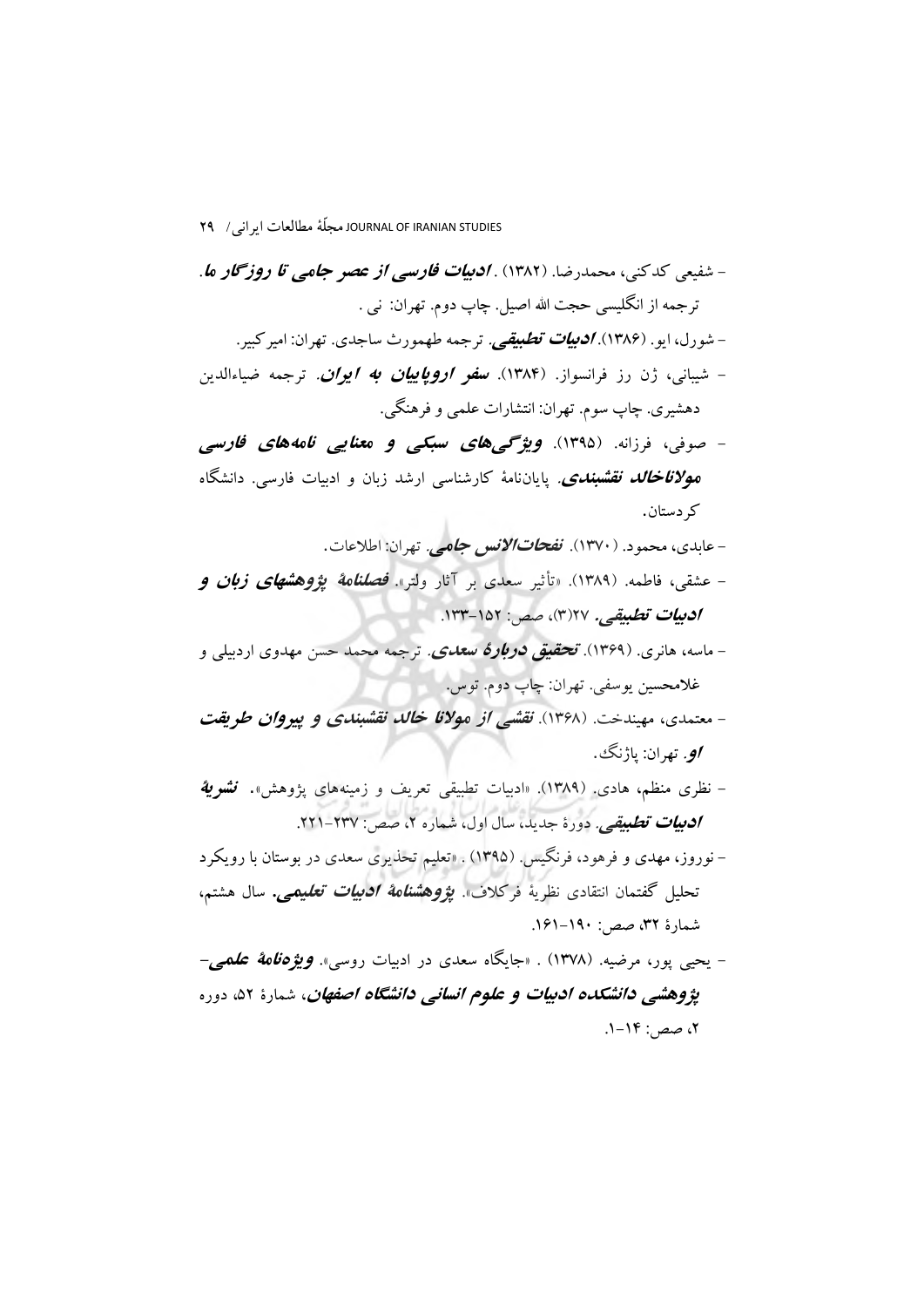- شفیعی کدکنی، محمدرضا. )1382( . **ادبیات فارسی از عصر جامی تا روزگار ما**. ترجمه از انگلیسی حجت الله اصیل. چاپ دوم. تهران: نبی . - شورل، ایو. )1386(. **ادبیات تطبیقی**. ترجمه طهمورث ساجدی. تهران: امیرکبیر. - شیبانی، ژن رز فرانسواز. )1384(. **سفر اروپايیان به ايران**. ترجمه ضیاءالدین دهشیری. چاپ سوم. تهران: انتشارات علمی و فرهنگی. - صوفی، فرزانه. )1395(. **ويژگیهای سبکی و معنايی نامههای فارسی موالناخالد نقشبندی**. پایاننامۀ کارشناسی ارشد زبان و ادبیات فارسی. دانشگاه کردستان. - عابدی، محمود. )1370(. **نفحاتاالنس جامی**. تهران: اطالعات. - عشقی، فاطمه. )1389(. »تأثیر سعدی بر آثار ولتر«. **فصلنامة پژوهشهای زبان و ادبیات تطبیقی.** 27)3(، صص: .133-152 - ماسه، هانری. )1369(. **تحقیق دربارۀ سعدی**. ترجمه محمد حسن مهدوی اردبیلی و غالمحسین یوسفی. تهران: چاپ دوم. توس. - معتمدی، مهیندخت. )1368(. **نقشی از موالنا خالد نقشبندی و پیروان طريقت او**. تهران: پاژنگ. - نظری منظم، هادی. )1389(. »ادبیات تطبیقی تعریف و زمینههای پژوهش«. **نشرية ادبی***ات تطبیقی.* **دورهٔ جدید، سال اول، شماره ۲، صص: ۲۳۷-۲۲۱.** - نوروز، مهدی و فرهود، فرنگیس. )1395( . »تعلیم تحذیری سعدی در بوستان با رویکرد تحلیل گفتمان انتقادی نظریۀ فرکالف«. **پژوهشنامة ادبیات تعلیمی.** سال هشتم، شمارة ،32 صص: .161-190 - یحیی پور، مرضیه. )1378( . »جایگاه سعدی در ادبیات روسی«. **ويژهنامة علمی- پژوهش***ی دانشکده ادبیات و علوم انسانی دانشگاه اصفهان***، شمارهٔ ۵۲، دوره** ، صص: ۱۴-۱.